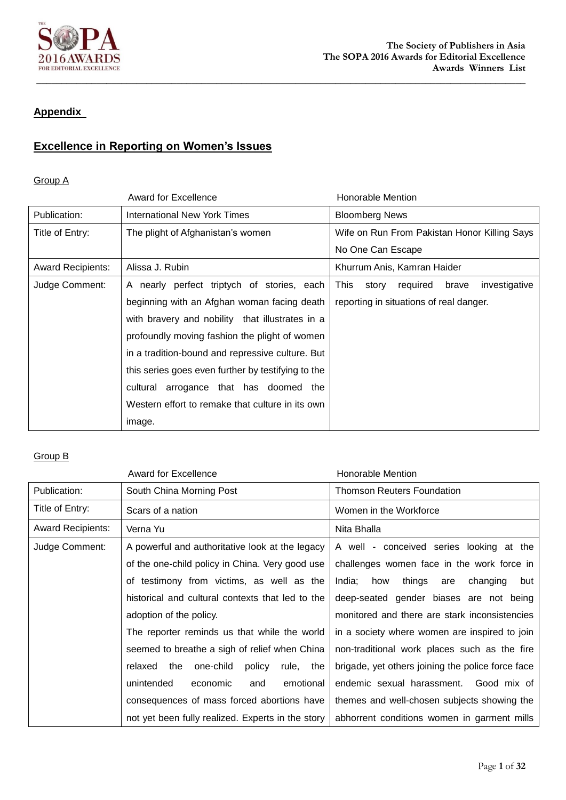

## **Appendix**

# **Excellence in Reporting on Women's Issues**

#### Group A

|                          | <b>Award for Excellence</b>                        | <b>Honorable Mention</b>                            |
|--------------------------|----------------------------------------------------|-----------------------------------------------------|
| Publication:             | International New York Times                       | <b>Bloomberg News</b>                               |
| Title of Entry:          | The plight of Afghanistan's women                  | Wife on Run From Pakistan Honor Killing Says        |
|                          |                                                    | No One Can Escape                                   |
| <b>Award Recipients:</b> | Alissa J. Rubin                                    | Khurrum Anis, Kamran Haider                         |
| Judge Comment:           | A nearly perfect triptych of stories, each         | This<br>investigative<br>brave<br>story<br>required |
|                          | beginning with an Afghan woman facing death        | reporting in situations of real danger.             |
|                          | with bravery and nobility that illustrates in a    |                                                     |
|                          | profoundly moving fashion the plight of women      |                                                     |
|                          | in a tradition-bound and repressive culture. But   |                                                     |
|                          | this series goes even further by testifying to the |                                                     |
|                          | cultural arrogance that has doomed the             |                                                     |
|                          | Western effort to remake that culture in its own   |                                                     |
|                          | image.                                             |                                                     |

|                          | Award for Excellence                               | Honorable Mention                                 |
|--------------------------|----------------------------------------------------|---------------------------------------------------|
| Publication:             | South China Morning Post                           | Thomson Reuters Foundation                        |
| Title of Entry:          | Scars of a nation                                  | Women in the Workforce                            |
| <b>Award Recipients:</b> | Verna Yu                                           | Nita Bhalla                                       |
| Judge Comment:           | A powerful and authoritative look at the legacy    | A well - conceived series looking at the          |
|                          | of the one-child policy in China. Very good use    | challenges women face in the work force in        |
|                          | of testimony from victims, as well as the          | India;<br>how<br>things<br>changing<br>but<br>are |
|                          | historical and cultural contexts that led to the   | deep-seated gender biases are not being           |
|                          | adoption of the policy.                            | monitored and there are stark inconsistencies     |
|                          | The reporter reminds us that while the world       | in a society where women are inspired to join     |
|                          | seemed to breathe a sigh of relief when China      | non-traditional work places such as the fire      |
|                          | one-child<br>policy<br>relaxed<br>the<br>rule, the | brigade, yet others joining the police force face |
|                          | unintended<br>emotional<br>economic<br>and         | endemic sexual harassment. Good mix of            |
|                          | consequences of mass forced abortions have         | themes and well-chosen subjects showing the       |
|                          | not yet been fully realized. Experts in the story  | abhorrent conditions women in garment mills       |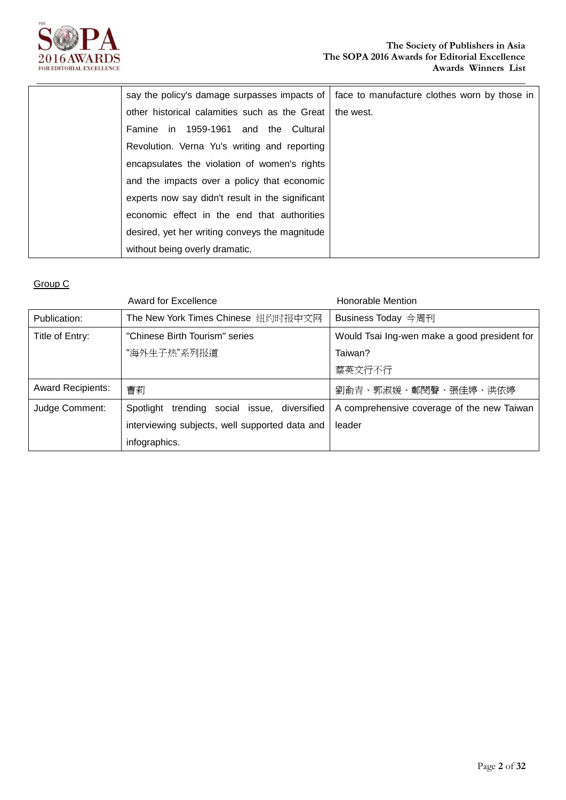

| say the policy's damage surpasses impacts of     | face to manufacture clothes worn by those in |
|--------------------------------------------------|----------------------------------------------|
| other historical calamities such as the Great    | the west.                                    |
| Famine in 1959-1961 and the Cultural             |                                              |
| Revolution. Verna Yu's writing and reporting     |                                              |
| encapsulates the violation of women's rights     |                                              |
| and the impacts over a policy that economic      |                                              |
| experts now say didn't result in the significant |                                              |
| economic effect in the end that authorities      |                                              |
| desired, yet her writing conveys the magnitude   |                                              |
| without being overly dramatic.                   |                                              |

**\_\_\_\_\_\_\_\_\_\_\_\_\_\_\_\_\_\_\_\_\_\_\_\_\_\_\_\_\_\_\_\_\_\_\_\_\_\_\_\_\_\_\_\_\_\_\_\_\_\_\_\_\_\_\_\_\_\_\_\_\_\_\_\_\_\_\_\_\_\_\_\_\_\_\_\_\_\_\_\_\_\_\_\_\_\_\_\_\_\_\_\_\_\_\_\_\_\_**

|                          | Award for Excellence                           | Honorable Mention                            |
|--------------------------|------------------------------------------------|----------------------------------------------|
| Publication:             | The New York Times Chinese 纽约时报中文网             | Business Today 今周刊                           |
| Title of Entry:          | "Chinese Birth Tourism" series                 | Would Tsai Ing-wen make a good president for |
|                          | "海外生子热"系列报道                                    | Taiwan?                                      |
|                          |                                                | 蔡英文行不行                                       |
| <b>Award Recipients:</b> | 曹莉                                             | 劉俞青、郭淑媛、鄭閔聲、張佳婷、洪依婷                          |
| Judge Comment:           | Spotlight trending social issue, diversified   | A comprehensive coverage of the new Taiwan   |
|                          | interviewing subjects, well supported data and | leader                                       |
|                          | infographics.                                  |                                              |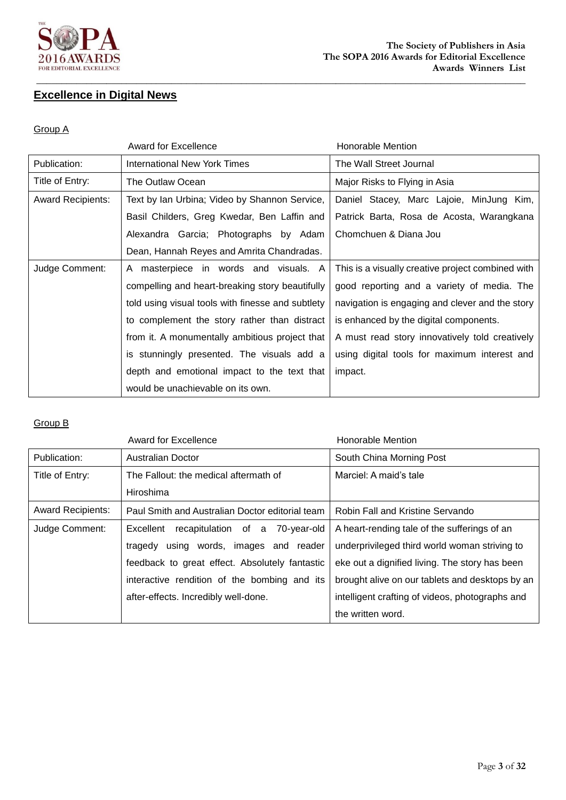

## **Excellence in Digital News**

#### Group A

|                          | <b>Award for Excellence</b>                       | <b>Honorable Mention</b>                          |
|--------------------------|---------------------------------------------------|---------------------------------------------------|
| Publication:             | <b>International New York Times</b>               | The Wall Street Journal                           |
| Title of Entry:          | The Outlaw Ocean                                  | Major Risks to Flying in Asia                     |
| <b>Award Recipients:</b> | Text by Ian Urbina; Video by Shannon Service,     | Daniel Stacey, Marc Lajoie, MinJung Kim,          |
|                          | Basil Childers, Greg Kwedar, Ben Laffin and       | Patrick Barta, Rosa de Acosta, Warangkana         |
|                          | Alexandra Garcia; Photographs by Adam             | Chomchuen & Diana Jou                             |
|                          | Dean, Hannah Reyes and Amrita Chandradas.         |                                                   |
| Judge Comment:           | masterpiece in words and visuals. A<br>A          | This is a visually creative project combined with |
|                          | compelling and heart-breaking story beautifully   | good reporting and a variety of media. The        |
|                          | told using visual tools with finesse and subtlety | navigation is engaging and clever and the story   |
|                          | to complement the story rather than distract      | is enhanced by the digital components.            |
|                          | from it. A monumentally ambitious project that    | A must read story innovatively told creatively    |
|                          | is stunningly presented. The visuals add a        | using digital tools for maximum interest and      |
|                          | depth and emotional impact to the text that       | impact.                                           |
|                          | would be unachievable on its own.                 |                                                   |

|                          | <b>Award for Excellence</b>                     | Honorable Mention                               |
|--------------------------|-------------------------------------------------|-------------------------------------------------|
| Publication:             | <b>Australian Doctor</b>                        | South China Morning Post                        |
| Title of Entry:          | The Fallout: the medical aftermath of           | Marciel: A maid's tale                          |
|                          | Hiroshima                                       |                                                 |
| <b>Award Recipients:</b> | Paul Smith and Australian Doctor editorial team | Robin Fall and Kristine Servando                |
| Judge Comment:           | recapitulation of a 70-year-old<br>Excellent    | A heart-rending tale of the sufferings of an    |
|                          | tragedy using words, images and reader          | underprivileged third world woman striving to   |
|                          | feedback to great effect. Absolutely fantastic  | eke out a dignified living. The story has been  |
|                          | interactive rendition of the bombing and its    | brought alive on our tablets and desktops by an |
|                          | after-effects. Incredibly well-done.            | intelligent crafting of videos, photographs and |
|                          |                                                 | the written word.                               |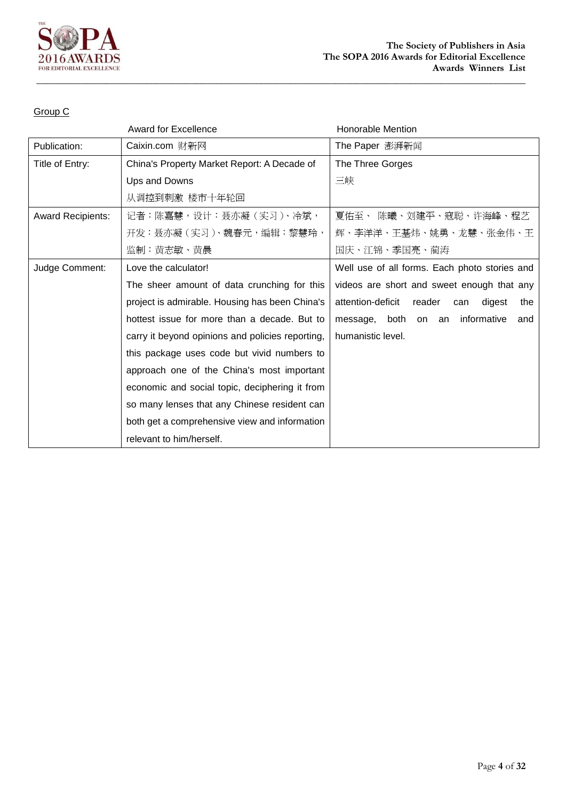

|                          | <b>Award for Excellence</b>                      | <b>Honorable Mention</b>                            |
|--------------------------|--------------------------------------------------|-----------------------------------------------------|
| Publication:             | Caixin.com 财新网                                   | The Paper 澎湃新闻                                      |
| Title of Entry:          | China's Property Market Report: A Decade of      | The Three Gorges                                    |
|                          | Ups and Downs                                    | 三峡                                                  |
|                          | 从调控到刺激 楼市十年轮回                                    |                                                     |
| <b>Award Recipients:</b> | 记者:陈嘉慧,设计:聂亦凝(实习)、冷斌,                            | 陈曦、刘建平、寇聪、许海峰、程艺<br>夏佑至、                            |
|                          | 开发:聂亦凝(实习)、魏春元,编辑:黎慧玲,                           | 辉、李洋洋、王基炜、姚勇、龙慧、张金伟、王                               |
|                          | 监制:黄志敏、黄晨                                        | 国庆、江锦、季国亮、蔺涛                                        |
| Judge Comment:           | Love the calculator!                             | Well use of all forms. Each photo stories and       |
|                          | The sheer amount of data crunching for this      | videos are short and sweet enough that any          |
|                          | project is admirable. Housing has been China's   | attention-deficit<br>reader<br>digest<br>the<br>can |
|                          | hottest issue for more than a decade. But to     | both<br>informative<br>message,<br>on<br>an<br>and  |
|                          | carry it beyond opinions and policies reporting, | humanistic level.                                   |
|                          | this package uses code but vivid numbers to      |                                                     |
|                          | approach one of the China's most important       |                                                     |
|                          | economic and social topic, deciphering it from   |                                                     |
|                          | so many lenses that any Chinese resident can     |                                                     |
|                          | both get a comprehensive view and information    |                                                     |
|                          | relevant to him/herself.                         |                                                     |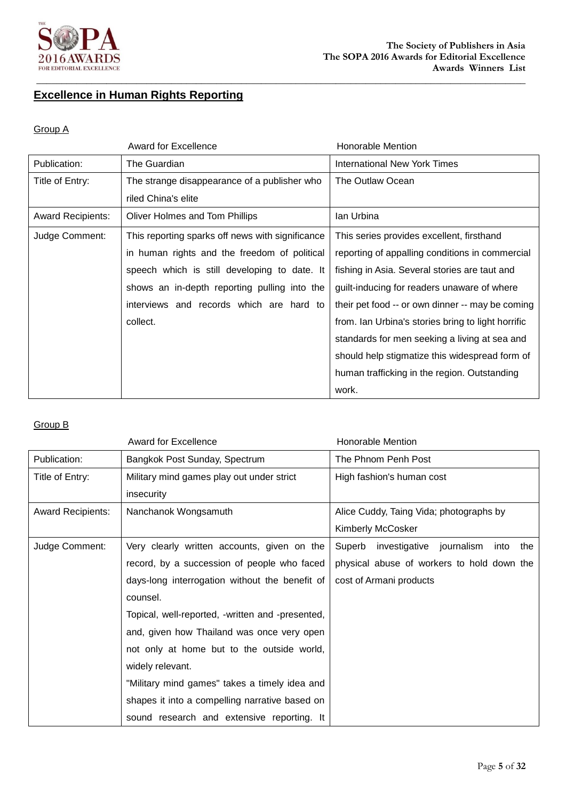

# **Excellence in Human Rights Reporting**

#### Group A

|                          | <b>Award for Excellence</b>                      | <b>Honorable Mention</b>                           |
|--------------------------|--------------------------------------------------|----------------------------------------------------|
| Publication:             | The Guardian                                     | <b>International New York Times</b>                |
| Title of Entry:          | The strange disappearance of a publisher who     | The Outlaw Ocean                                   |
|                          | riled China's elite                              |                                                    |
| <b>Award Recipients:</b> | Oliver Holmes and Tom Phillips                   | lan Urbina                                         |
| Judge Comment:           | This reporting sparks off news with significance | This series provides excellent, firsthand          |
|                          | in human rights and the freedom of political     | reporting of appalling conditions in commercial    |
|                          | speech which is still developing to date. It     | fishing in Asia. Several stories are taut and      |
|                          | shows an in-depth reporting pulling into the     | guilt-inducing for readers unaware of where        |
|                          | interviews and records which are hard to         | their pet food -- or own dinner -- may be coming   |
|                          | collect.                                         | from. Ian Urbina's stories bring to light horrific |
|                          |                                                  | standards for men seeking a living at sea and      |
|                          |                                                  | should help stigmatize this widespread form of     |
|                          |                                                  | human trafficking in the region. Outstanding       |
|                          |                                                  | work.                                              |

|                          | <b>Award for Excellence</b>                      | Honorable Mention                              |
|--------------------------|--------------------------------------------------|------------------------------------------------|
| Publication:             | Bangkok Post Sunday, Spectrum                    | The Phnom Penh Post                            |
| Title of Entry:          | Military mind games play out under strict        | High fashion's human cost                      |
|                          | insecurity                                       |                                                |
| <b>Award Recipients:</b> | Nanchanok Wongsamuth                             | Alice Cuddy, Taing Vida; photographs by        |
|                          |                                                  | Kimberly McCosker                              |
| Judge Comment:           | Very clearly written accounts, given on the      | Superb investigative journalism<br>into<br>the |
|                          | record, by a succession of people who faced      | physical abuse of workers to hold down the     |
|                          | days-long interrogation without the benefit of   | cost of Armani products                        |
|                          | counsel.                                         |                                                |
|                          | Topical, well-reported, -written and -presented, |                                                |
|                          | and, given how Thailand was once very open       |                                                |
|                          | not only at home but to the outside world,       |                                                |
|                          | widely relevant.                                 |                                                |
|                          | "Military mind games" takes a timely idea and    |                                                |
|                          | shapes it into a compelling narrative based on   |                                                |
|                          | sound research and extensive reporting. It       |                                                |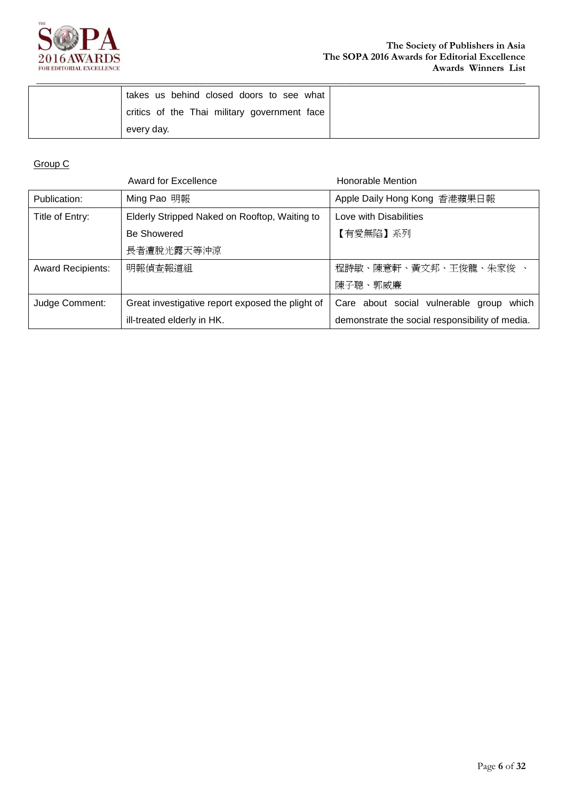

| takes us behind closed doors to see what     |  |
|----------------------------------------------|--|
| critics of the Thai military government face |  |
| every day.                                   |  |

|                          | <b>Award for Excellence</b>                      | <b>Honorable Mention</b>                        |
|--------------------------|--------------------------------------------------|-------------------------------------------------|
| Publication:             | Ming Pao 明報                                      | Apple Daily Hong Kong 香港蘋果日報                    |
| Title of Entry:          | Elderly Stripped Naked on Rooftop, Waiting to    | Love with Disabilities                          |
|                          | <b>Be Showered</b>                               | 【有愛無陷】系列                                        |
|                          | 長者遭脫光露天等沖涼                                       |                                                 |
| <b>Award Recipients:</b> | 明報偵査報道組                                          | 程詩敏、陳意軒、黃文邦、王俊龍、朱家俊 、                           |
|                          |                                                  | 陳子聰、郭威廉                                         |
| Judge Comment:           | Great investigative report exposed the plight of | Care about social vulnerable group<br>which     |
|                          | ill-treated elderly in HK.                       | demonstrate the social responsibility of media. |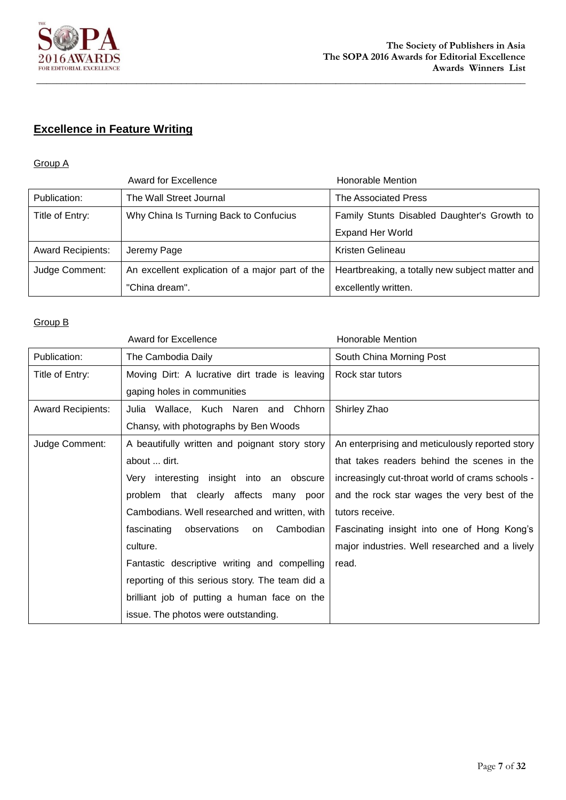

# **Excellence in Feature Writing**

### Group A

|                          | Award for Excellence                            | Honorable Mention                               |
|--------------------------|-------------------------------------------------|-------------------------------------------------|
| Publication:             | The Wall Street Journal                         | The Associated Press                            |
| Title of Entry:          | Why China Is Turning Back to Confucius          | Family Stunts Disabled Daughter's Growth to     |
|                          |                                                 | <b>Expand Her World</b>                         |
| <b>Award Recipients:</b> | Jeremy Page                                     | Kristen Gelineau                                |
| Judge Comment:           | An excellent explication of a major part of the | Heartbreaking, a totally new subject matter and |
|                          | "China dream".                                  | excellently written.                            |

|                          | <b>Award for Excellence</b>                     | <b>Honorable Mention</b>                         |
|--------------------------|-------------------------------------------------|--------------------------------------------------|
| Publication:             | The Cambodia Daily                              | South China Morning Post                         |
| Title of Entry:          | Moving Dirt: A lucrative dirt trade is leaving  | Rock star tutors                                 |
|                          | gaping holes in communities                     |                                                  |
| <b>Award Recipients:</b> | Julia Wallace, Kuch Naren and Chhorn            | Shirley Zhao                                     |
|                          | Chansy, with photographs by Ben Woods           |                                                  |
| Judge Comment:           | A beautifully written and poignant story story  | An enterprising and meticulously reported story  |
|                          | about  dirt.                                    | that takes readers behind the scenes in the      |
|                          | Very interesting insight into an obscure        | increasingly cut-throat world of crams schools - |
|                          | problem that clearly affects many poor          | and the rock star wages the very best of the     |
|                          | Cambodians. Well researched and written, with   | tutors receive.                                  |
|                          | fascinating<br>observations<br>Cambodian<br>on  | Fascinating insight into one of Hong Kong's      |
|                          | culture.                                        | major industries. Well researched and a lively   |
|                          | Fantastic descriptive writing and compelling    | read.                                            |
|                          | reporting of this serious story. The team did a |                                                  |
|                          | brilliant job of putting a human face on the    |                                                  |
|                          | issue. The photos were outstanding.             |                                                  |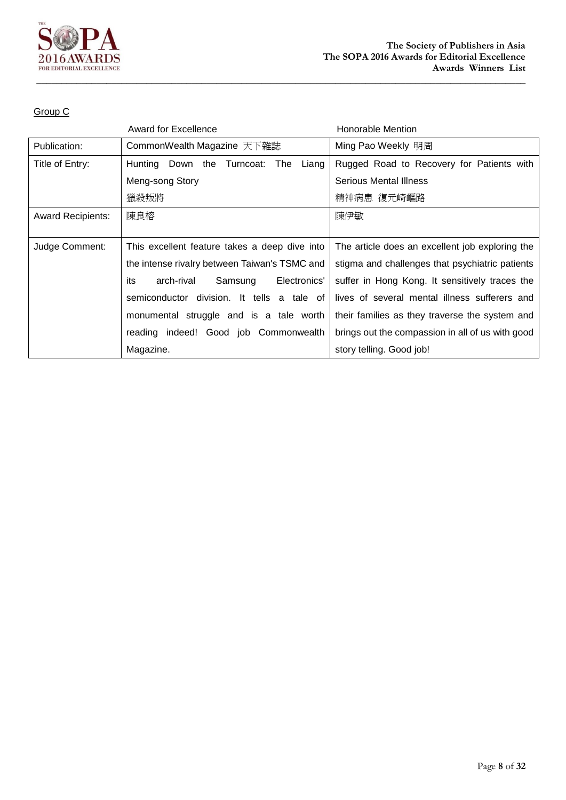

|                          | Award for Excellence                             | Honorable Mention                                |
|--------------------------|--------------------------------------------------|--------------------------------------------------|
| Publication:             | CommonWealth Magazine 天下雜誌                       | Ming Pao Weekly 明周                               |
| Title of Entry:          | Down the<br>The<br>Turncoat:<br>Liang<br>Hunting | Rugged Road to Recovery for Patients with        |
|                          | Meng-song Story                                  | Serious Mental Illness                           |
|                          | 獵殺叛將                                             | 精神病患 復元崎嶇路                                       |
| <b>Award Recipients:</b> | 陳良榕                                              | 陳伊敏                                              |
|                          |                                                  |                                                  |
| Judge Comment:           | This excellent feature takes a deep dive into    | The article does an excellent job exploring the  |
|                          | the intense rivalry between Taiwan's TSMC and    | stigma and challenges that psychiatric patients  |
|                          | arch-rival<br>Samsung<br>Electronics'<br>its     | suffer in Hong Kong. It sensitively traces the   |
|                          | semiconductor division. It tells a tale of       | lives of several mental illness sufferers and    |
|                          | monumental struggle and is a tale worth          | their families as they traverse the system and   |
|                          | reading indeed! Good job Commonwealth            | brings out the compassion in all of us with good |
|                          | Magazine.                                        | story telling. Good job!                         |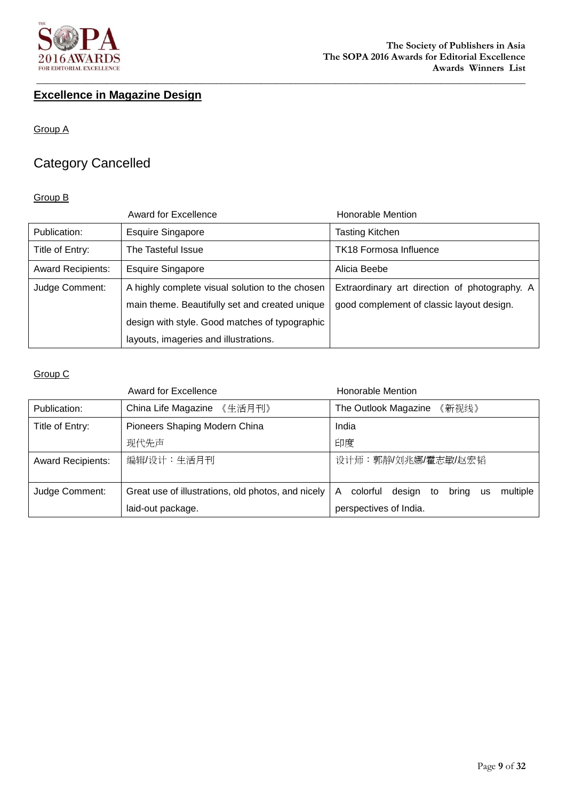

# **Excellence in Magazine Design**

Group A

# Category Cancelled

#### Group B

|                          | <b>Award for Excellence</b>                     | Honorable Mention                             |
|--------------------------|-------------------------------------------------|-----------------------------------------------|
| Publication:             | <b>Esquire Singapore</b>                        | Tasting Kitchen                               |
| Title of Entry:          | The Tasteful Issue                              | <b>TK18 Formosa Influence</b>                 |
| <b>Award Recipients:</b> | <b>Esquire Singapore</b>                        | Alicia Beebe                                  |
| Judge Comment:           | A highly complete visual solution to the chosen | Extraordinary art direction of photography. A |
|                          | main theme. Beautifully set and created unique  | good complement of classic layout design.     |
|                          | design with style. Good matches of typographic  |                                               |
|                          | layouts, imageries and illustrations.           |                                               |

|                          | <b>Award for Excellence</b>                        | Honorable Mention                                               |
|--------------------------|----------------------------------------------------|-----------------------------------------------------------------|
| Publication:             | China Life Magazine<br>《生活月刊》                      | The Outlook Magazine<br>《新视线》                                   |
| Title of Entry:          | Pioneers Shaping Modern China                      | India                                                           |
|                          | 现代先声                                               | 印度                                                              |
| <b>Award Recipients:</b> | 编辑/设计:生活月刊                                         | 设计师:郭静/刘兆娜/霍志敏/赵宏韬                                              |
|                          |                                                    |                                                                 |
| Judge Comment:           | Great use of illustrations, old photos, and nicely | multiple<br>bring<br>A<br>colorful<br>design<br>to<br><b>us</b> |
|                          | laid-out package.                                  | perspectives of India.                                          |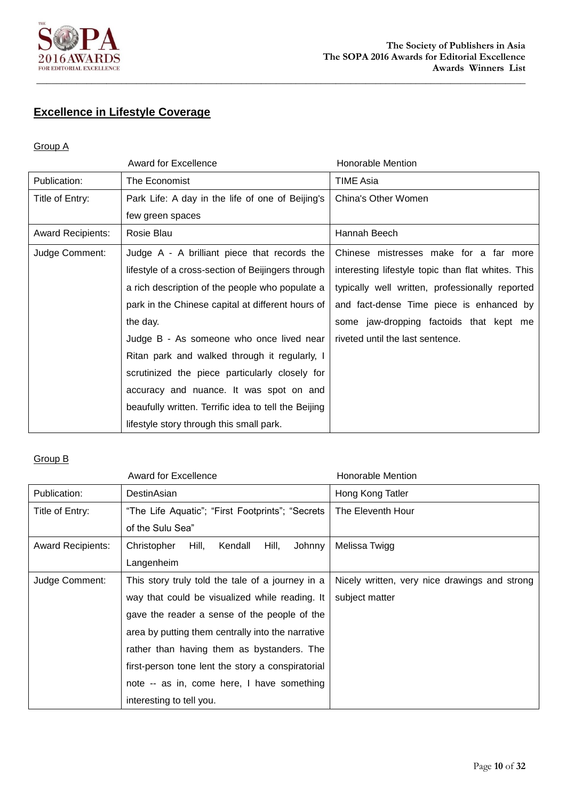

# **Excellence in Lifestyle Coverage**

#### Group A

|                          | <b>Award for Excellence</b>                          | Honorable Mention                                  |
|--------------------------|------------------------------------------------------|----------------------------------------------------|
| Publication:             | The Economist                                        | <b>TIME Asia</b>                                   |
| Title of Entry:          | Park Life: A day in the life of one of Beijing's     | China's Other Women                                |
|                          | few green spaces                                     |                                                    |
| <b>Award Recipients:</b> | Rosie Blau                                           | Hannah Beech                                       |
| Judge Comment:           | Judge A - A brilliant piece that records the         | Chinese mistresses make for a far more             |
|                          | lifestyle of a cross-section of Beijingers through   | interesting lifestyle topic than flat whites. This |
|                          | a rich description of the people who populate a      | typically well written, professionally reported    |
|                          | park in the Chinese capital at different hours of    | and fact-dense Time piece is enhanced by           |
|                          | the day.                                             | some jaw-dropping factoids that kept me            |
|                          | Judge B - As someone who once lived near             | riveted until the last sentence.                   |
|                          | Ritan park and walked through it regularly, I        |                                                    |
|                          | scrutinized the piece particularly closely for       |                                                    |
|                          | accuracy and nuance. It was spot on and              |                                                    |
|                          | beaufully written. Terrific idea to tell the Beijing |                                                    |
|                          | lifestyle story through this small park.             |                                                    |

|                          | <b>Award for Excellence</b>                        | Honorable Mention                             |
|--------------------------|----------------------------------------------------|-----------------------------------------------|
| Publication:             | DestinAsian                                        | Hong Kong Tatler                              |
| Title of Entry:          | "The Life Aquatic"; "First Footprints"; "Secrets   | The Eleventh Hour                             |
|                          | of the Sulu Sea"                                   |                                               |
| <b>Award Recipients:</b> | Hill,<br>Christopher<br>Kendall<br>Hill,<br>Johnny | Melissa Twigg                                 |
|                          | Langenheim                                         |                                               |
| Judge Comment:           | This story truly told the tale of a journey in a   | Nicely written, very nice drawings and strong |
|                          | way that could be visualized while reading. It     | subject matter                                |
|                          | gave the reader a sense of the people of the       |                                               |
|                          | area by putting them centrally into the narrative  |                                               |
|                          | rather than having them as bystanders. The         |                                               |
|                          | first-person tone lent the story a conspiratorial  |                                               |
|                          | note -- as in, come here, I have something         |                                               |
|                          | interesting to tell you.                           |                                               |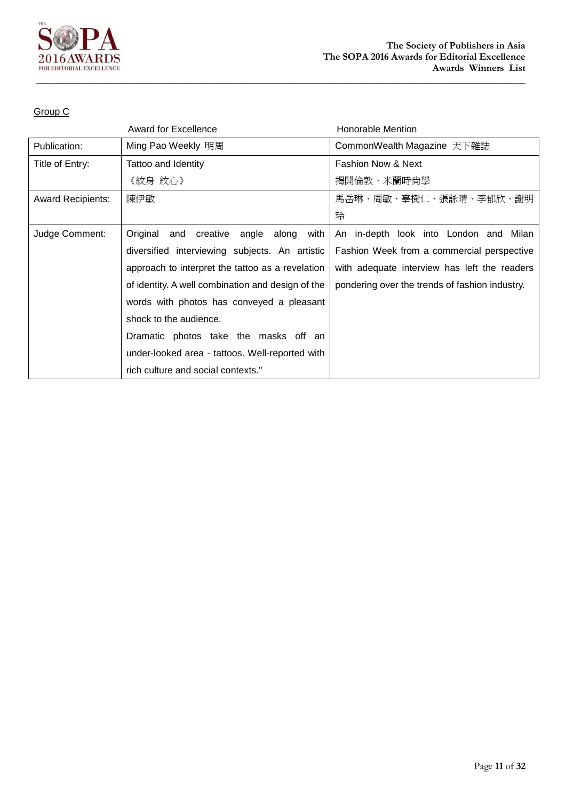

|                          | <b>Award for Excellence</b>                           | <b>Honorable Mention</b>                       |
|--------------------------|-------------------------------------------------------|------------------------------------------------|
| Publication:             | Ming Pao Weekly 明周                                    | CommonWealth Magazine 天下雜誌                     |
| Title of Entry:          | Tattoo and Identity                                   | <b>Fashion Now &amp; Next</b>                  |
|                          | 《紋身 紋心》                                               | 揭開倫敦、米蘭時尚學                                     |
| <b>Award Recipients:</b> | 陳伊敏                                                   | 馬岳琳、周敏、辜樹仁、張詠晴、李郁欣、謝明                          |
|                          |                                                       | 玲                                              |
| Judge Comment:           | Original<br>and<br>creative<br>angle<br>along<br>with | An in-depth look into London and Milan         |
|                          | diversified interviewing subjects. An artistic        | Fashion Week from a commercial perspective     |
|                          | approach to interpret the tattoo as a revelation      | with adequate interview has left the readers   |
|                          | of identity. A well combination and design of the     | pondering over the trends of fashion industry. |
|                          | words with photos has conveyed a pleasant             |                                                |
|                          | shock to the audience.                                |                                                |
|                          | Dramatic photos take the masks off an                 |                                                |
|                          | under-looked area - tattoos. Well-reported with       |                                                |
|                          | rich culture and social contexts."                    |                                                |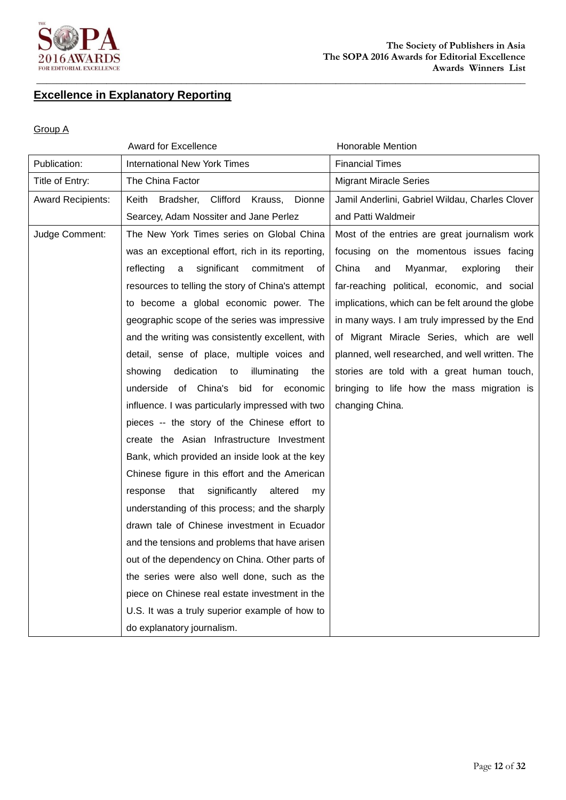

# **Excellence in Explanatory Reporting**

#### Group A

|                          | <b>Award for Excellence</b>                         | <b>Honorable Mention</b>                         |
|--------------------------|-----------------------------------------------------|--------------------------------------------------|
| Publication:             | <b>International New York Times</b>                 | <b>Financial Times</b>                           |
| Title of Entry:          | The China Factor                                    | <b>Migrant Miracle Series</b>                    |
| <b>Award Recipients:</b> | Clifford<br>Bradsher,<br>Krauss,<br>Dionne<br>Keith | Jamil Anderlini, Gabriel Wildau, Charles Clover  |
|                          | Searcey, Adam Nossiter and Jane Perlez              | and Patti Waldmeir                               |
| Judge Comment:           | The New York Times series on Global China           | Most of the entries are great journalism work    |
|                          | was an exceptional effort, rich in its reporting,   | focusing on the momentous issues facing          |
|                          | significant<br>commitment<br>reflecting<br>оf<br>a  | China<br>Myanmar,<br>exploring<br>and<br>their   |
|                          | resources to telling the story of China's attempt   | far-reaching political, economic, and social     |
|                          | to become a global economic power. The              | implications, which can be felt around the globe |
|                          | geographic scope of the series was impressive       | in many ways. I am truly impressed by the End    |
|                          | and the writing was consistently excellent, with    | of Migrant Miracle Series, which are well        |
|                          | detail, sense of place, multiple voices and         | planned, well researched, and well written. The  |
|                          | dedication<br>showing<br>illuminating<br>to<br>the  | stories are told with a great human touch,       |
|                          | underside of China's bid for economic               | bringing to life how the mass migration is       |
|                          | influence. I was particularly impressed with two    | changing China.                                  |
|                          | pieces -- the story of the Chinese effort to        |                                                  |
|                          | create the Asian Infrastructure Investment          |                                                  |
|                          | Bank, which provided an inside look at the key      |                                                  |
|                          | Chinese figure in this effort and the American      |                                                  |
|                          | that<br>significantly<br>altered<br>response<br>my. |                                                  |
|                          | understanding of this process; and the sharply      |                                                  |
|                          | drawn tale of Chinese investment in Ecuador         |                                                  |
|                          | and the tensions and problems that have arisen      |                                                  |
|                          | out of the dependency on China. Other parts of      |                                                  |
|                          | the series were also well done, such as the         |                                                  |
|                          | piece on Chinese real estate investment in the      |                                                  |
|                          | U.S. It was a truly superior example of how to      |                                                  |
|                          | do explanatory journalism.                          |                                                  |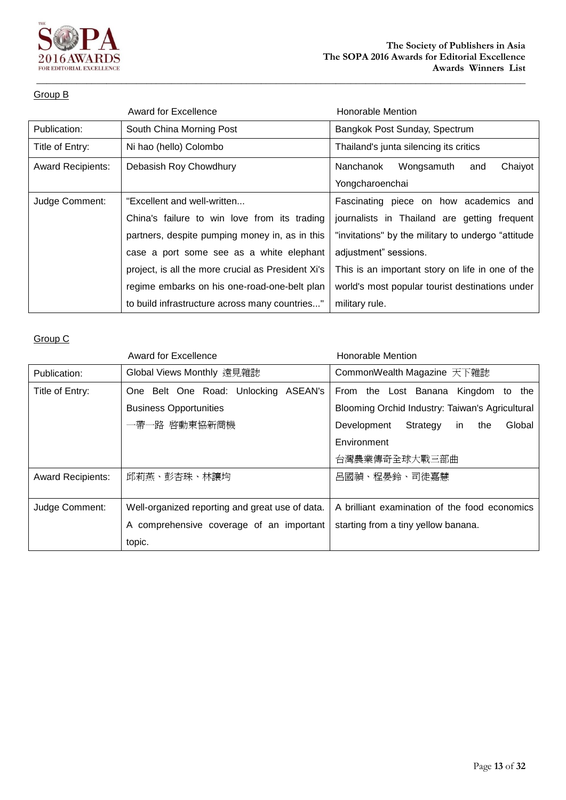

#### Group B

|                          | <b>Award for Excellence</b>                        | <b>Honorable Mention</b>                            |
|--------------------------|----------------------------------------------------|-----------------------------------------------------|
| Publication:             | South China Morning Post                           | Bangkok Post Sunday, Spectrum                       |
| Title of Entry:          | Ni hao (hello) Colombo                             | Thailand's junta silencing its critics              |
| <b>Award Recipients:</b> | Debasish Roy Chowdhury                             | Chaiyot<br>Nanchanok<br>Wongsamuth<br>and           |
|                          |                                                    | Yongcharoenchai                                     |
| Judge Comment:           | "Excellent and well-written                        | Fascinating piece on how academics and              |
|                          | China's failure to win love from its trading       | journalists in Thailand are getting frequent        |
|                          | partners, despite pumping money in, as in this     | "invitations" by the military to undergo "attitude" |
|                          | case a port some see as a white elephant           | adjustment" sessions.                               |
|                          | project, is all the more crucial as President Xi's | This is an important story on life in one of the    |
|                          | regime embarks on his one-road-one-belt plan       | world's most popular tourist destinations under     |
|                          | to build infrastructure across many countries"     | military rule.                                      |

|                          | Award for Excellence                            | <b>Honorable Mention</b>                        |
|--------------------------|-------------------------------------------------|-------------------------------------------------|
| Publication:             | Global Views Monthly 遠見雜誌                       | CommonWealth Magazine 天下雜誌                      |
| Title of Entry:          | One Belt One Road: Unlocking<br>ASEAN's         | From the Lost Banana<br>Kingdom to the          |
|                          | <b>Business Opportunities</b>                   | Blooming Orchid Industry: Taiwan's Agricultural |
|                          | 一帶一路 啓動東協新商機                                    | Strategy<br>Global<br>Development<br>the<br>in. |
|                          |                                                 | Environment                                     |
|                          |                                                 | 台灣農業傳奇全球大戰三部曲                                   |
| <b>Award Recipients:</b> | 邱莉燕、彭杏珠、林讓均                                     | 呂國禎、程晏鈴、司徒嘉慧                                    |
|                          |                                                 |                                                 |
| Judge Comment:           | Well-organized reporting and great use of data. | A brilliant examination of the food economics   |
|                          | A comprehensive coverage of an important        | starting from a tiny yellow banana.             |
|                          | topic.                                          |                                                 |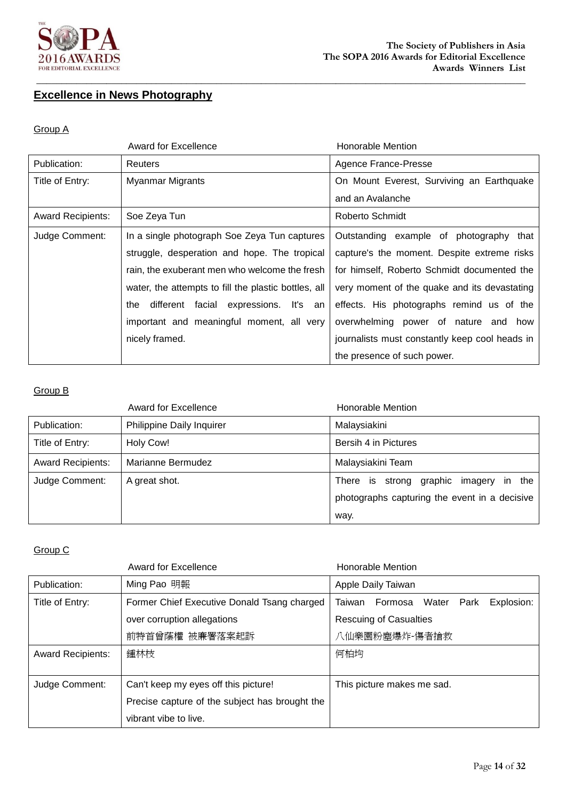

## **Excellence in News Photography**

#### Group A

|                          | <b>Award for Excellence</b>                          | Honorable Mention                              |
|--------------------------|------------------------------------------------------|------------------------------------------------|
| Publication:             | Reuters                                              | Agence France-Presse                           |
| Title of Entry:          | <b>Myanmar Migrants</b>                              | On Mount Everest, Surviving an Earthquake      |
|                          |                                                      | and an Avalanche                               |
| <b>Award Recipients:</b> | Soe Zeya Tun                                         | Roberto Schmidt                                |
| Judge Comment:           | In a single photograph Soe Zeya Tun captures         | Outstanding example of photography that        |
|                          | struggle, desperation and hope. The tropical         | capture's the moment. Despite extreme risks    |
|                          | rain, the exuberant men who welcome the fresh        | for himself, Roberto Schmidt documented the    |
|                          | water, the attempts to fill the plastic bottles, all | very moment of the quake and its devastating   |
|                          | different facial expressions. It's an<br>the         | effects. His photographs remind us of the      |
|                          | important and meaningful moment, all very            | overwhelming power of nature and how           |
|                          | nicely framed.                                       | journalists must constantly keep cool heads in |
|                          |                                                      | the presence of such power.                    |

### Group B

|                          | <b>Award for Excellence</b> | Honorable Mention                                                                          |
|--------------------------|-----------------------------|--------------------------------------------------------------------------------------------|
| Publication:             | Philippine Daily Inquirer   | Malaysiakini                                                                               |
| Title of Entry:          | Holy Cow!                   | Bersih 4 in Pictures                                                                       |
| <b>Award Recipients:</b> | Marianne Bermudez           | Malaysiakini Team                                                                          |
| Judge Comment:           | A great shot.               | There is strong graphic imagery<br>in the<br>photographs capturing the event in a decisive |
|                          |                             | way.                                                                                       |

|                          | <b>Award for Excellence</b>                    | Honorable Mention                       |
|--------------------------|------------------------------------------------|-----------------------------------------|
| Publication:             | Ming Pao 明報                                    | Apple Daily Taiwan                      |
| Title of Entry:          | Former Chief Executive Donald Tsang charged    | Taiwan Formosa Water Park<br>Explosion: |
|                          | over corruption allegations                    | <b>Rescuing of Casualties</b>           |
|                          | 前特首曾蔭權 被廉署落案起訴                                 | 八仙樂園粉塵爆炸-傷者搶救                           |
| <b>Award Recipients:</b> | 鍾林枝                                            | 何柏均                                     |
|                          |                                                |                                         |
| Judge Comment:           | Can't keep my eyes off this picture!           | This picture makes me sad.              |
|                          | Precise capture of the subject has brought the |                                         |
|                          | vibrant vibe to live.                          |                                         |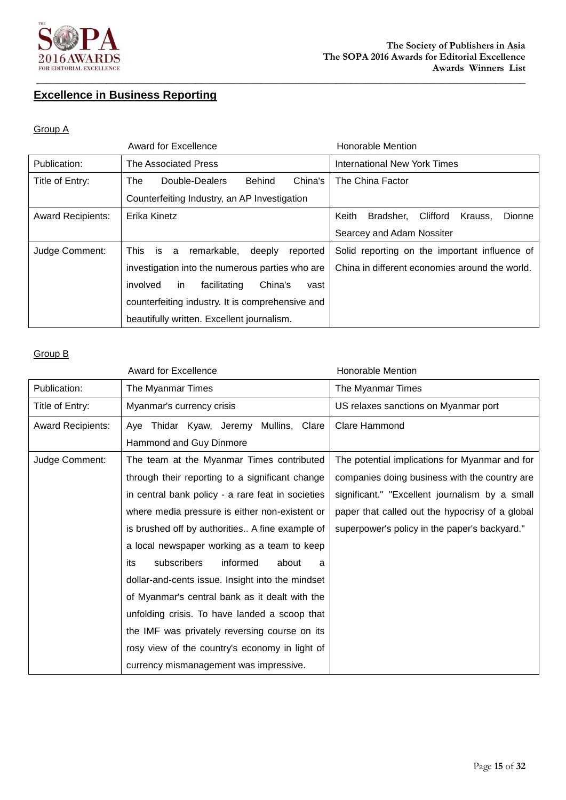

# **Excellence in Business Reporting**

#### Group A

|                          | Award for Excellence                                | <b>Honorable Mention</b>                                   |
|--------------------------|-----------------------------------------------------|------------------------------------------------------------|
| Publication:             | The Associated Press                                | <b>International New York Times</b>                        |
| Title of Entry:          | China's<br>Double-Dealers<br>Behind<br>The          | The China Factor                                           |
|                          | Counterfeiting Industry, an AP Investigation        |                                                            |
| <b>Award Recipients:</b> | Erika Kinetz                                        | Clifford<br><b>Dionne</b><br>Keith<br>Bradsher.<br>Krauss. |
|                          |                                                     | Searcey and Adam Nossiter                                  |
| Judge Comment:           | reported<br>This is<br>remarkable,<br>deeply<br>a - | Solid reporting on the important influence of              |
|                          | investigation into the numerous parties who are     | China in different economies around the world.             |
|                          | China's<br>involved<br>facilitating<br>vast<br>in.  |                                                            |
|                          | counterfeiting industry. It is comprehensive and    |                                                            |
|                          | beautifully written. Excellent journalism.          |                                                            |

|                          | <b>Award for Excellence</b>                       | <b>Honorable Mention</b>                        |
|--------------------------|---------------------------------------------------|-------------------------------------------------|
| Publication:             | The Myanmar Times                                 | The Myanmar Times                               |
| Title of Entry:          | Myanmar's currency crisis                         | US relaxes sanctions on Myanmar port            |
| <b>Award Recipients:</b> | Aye Thidar Kyaw, Jeremy Mullins, Clare            | <b>Clare Hammond</b>                            |
|                          | Hammond and Guy Dinmore                           |                                                 |
| Judge Comment:           | The team at the Myanmar Times contributed         | The potential implications for Myanmar and for  |
|                          | through their reporting to a significant change   | companies doing business with the country are   |
|                          | in central bank policy - a rare feat in societies | significant." "Excellent journalism by a small  |
|                          | where media pressure is either non-existent or    | paper that called out the hypocrisy of a global |
|                          | is brushed off by authorities A fine example of   | superpower's policy in the paper's backyard."   |
|                          | a local newspaper working as a team to keep       |                                                 |
|                          | subscribers<br>informed<br>about<br>its<br>a      |                                                 |
|                          | dollar-and-cents issue. Insight into the mindset  |                                                 |
|                          | of Myanmar's central bank as it dealt with the    |                                                 |
|                          | unfolding crisis. To have landed a scoop that     |                                                 |
|                          | the IMF was privately reversing course on its     |                                                 |
|                          | rosy view of the country's economy in light of    |                                                 |
|                          | currency mismanagement was impressive.            |                                                 |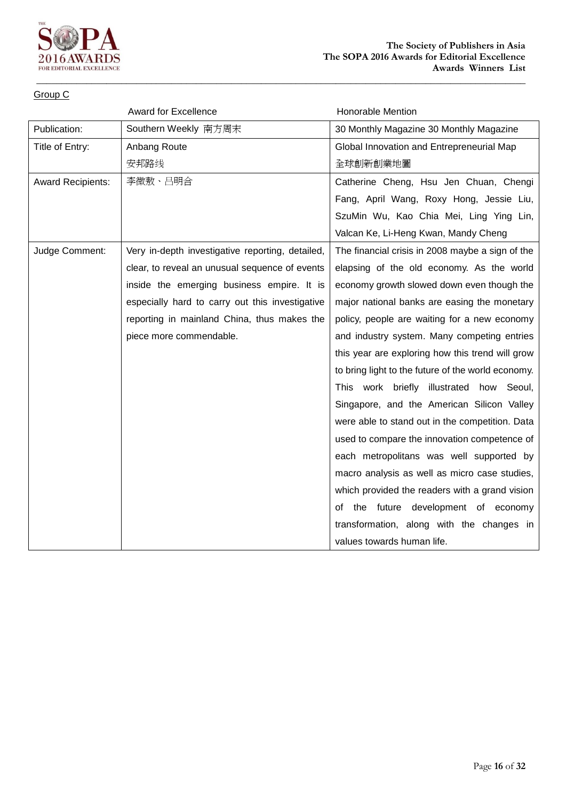

|                          | <b>Award for Excellence</b>                      | <b>Honorable Mention</b>                           |
|--------------------------|--------------------------------------------------|----------------------------------------------------|
| Publication:             | Southern Weekly 南方周末                             | 30 Monthly Magazine 30 Monthly Magazine            |
| Title of Entry:          | Anbang Route                                     | Global Innovation and Entrepreneurial Map          |
|                          | 安邦路线                                             | 全球創新創業地圖                                           |
| <b>Award Recipients:</b> | 李微敖、吕明合                                          | Catherine Cheng, Hsu Jen Chuan, Chengi             |
|                          |                                                  | Fang, April Wang, Roxy Hong, Jessie Liu,           |
|                          |                                                  | SzuMin Wu, Kao Chia Mei, Ling Ying Lin,            |
|                          |                                                  | Valcan Ke, Li-Heng Kwan, Mandy Cheng               |
| Judge Comment:           | Very in-depth investigative reporting, detailed, | The financial crisis in 2008 maybe a sign of the   |
|                          | clear, to reveal an unusual sequence of events   | elapsing of the old economy. As the world          |
|                          | inside the emerging business empire. It is       | economy growth slowed down even though the         |
|                          | especially hard to carry out this investigative  | major national banks are easing the monetary       |
|                          | reporting in mainland China, thus makes the      | policy, people are waiting for a new economy       |
|                          | piece more commendable.                          | and industry system. Many competing entries        |
|                          |                                                  | this year are exploring how this trend will grow   |
|                          |                                                  | to bring light to the future of the world economy. |
|                          |                                                  | This work briefly illustrated how Seoul,           |
|                          |                                                  | Singapore, and the American Silicon Valley         |
|                          |                                                  | were able to stand out in the competition. Data    |
|                          |                                                  | used to compare the innovation competence of       |
|                          |                                                  | each metropolitans was well supported by           |
|                          |                                                  | macro analysis as well as micro case studies,      |
|                          |                                                  | which provided the readers with a grand vision     |
|                          |                                                  | of the future development of economy               |
|                          |                                                  | transformation, along with the changes in          |
|                          |                                                  | values towards human life.                         |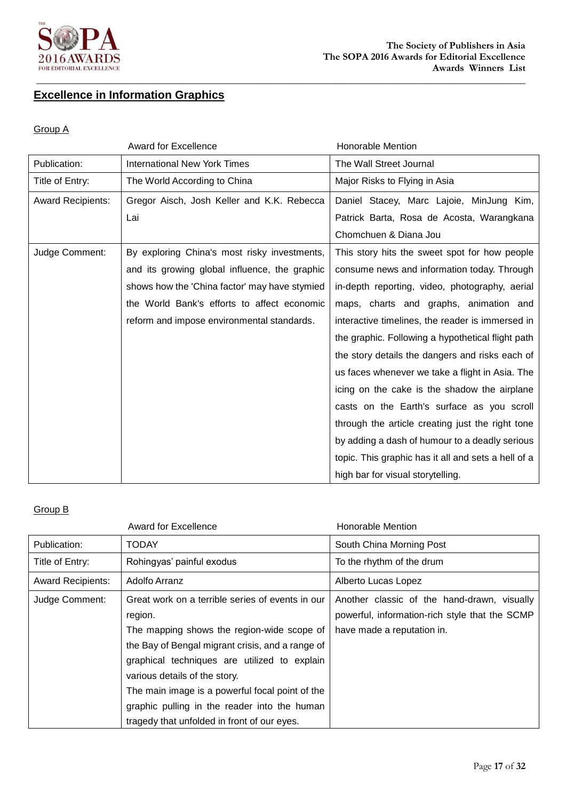

# **Excellence in Information Graphics**

#### Group A

|                          | <b>Award for Excellence</b>                   | <b>Honorable Mention</b>                            |
|--------------------------|-----------------------------------------------|-----------------------------------------------------|
| Publication:             | <b>International New York Times</b>           | The Wall Street Journal                             |
| Title of Entry:          | The World According to China                  | Major Risks to Flying in Asia                       |
| <b>Award Recipients:</b> | Gregor Aisch, Josh Keller and K.K. Rebecca    | Daniel Stacey, Marc Lajoie, MinJung Kim,            |
|                          | Lai                                           | Patrick Barta, Rosa de Acosta, Warangkana           |
|                          |                                               | Chomchuen & Diana Jou                               |
| Judge Comment:           | By exploring China's most risky investments,  | This story hits the sweet spot for how people       |
|                          | and its growing global influence, the graphic | consume news and information today. Through         |
|                          | shows how the 'China factor' may have stymied | in-depth reporting, video, photography, aerial      |
|                          | the World Bank's efforts to affect economic   | maps, charts and graphs, animation and              |
|                          | reform and impose environmental standards.    | interactive timelines, the reader is immersed in    |
|                          |                                               | the graphic. Following a hypothetical flight path   |
|                          |                                               | the story details the dangers and risks each of     |
|                          |                                               | us faces whenever we take a flight in Asia. The     |
|                          |                                               | icing on the cake is the shadow the airplane        |
|                          |                                               | casts on the Earth's surface as you scroll          |
|                          |                                               | through the article creating just the right tone    |
|                          |                                               | by adding a dash of humour to a deadly serious      |
|                          |                                               | topic. This graphic has it all and sets a hell of a |
|                          |                                               | high bar for visual storytelling.                   |

|                          | <b>Award for Excellence</b>                      | Honorable Mention                              |
|--------------------------|--------------------------------------------------|------------------------------------------------|
| Publication:             | TODAY                                            | South China Morning Post                       |
| Title of Entry:          | Rohingyas' painful exodus                        | To the rhythm of the drum                      |
| <b>Award Recipients:</b> | Adolfo Arranz                                    | Alberto Lucas Lopez                            |
| Judge Comment:           | Great work on a terrible series of events in our | Another classic of the hand-drawn, visually    |
|                          | region.                                          | powerful, information-rich style that the SCMP |
|                          | The mapping shows the region-wide scope of       | have made a reputation in.                     |
|                          | the Bay of Bengal migrant crisis, and a range of |                                                |
|                          | graphical techniques are utilized to explain     |                                                |
|                          | various details of the story.                    |                                                |
|                          | The main image is a powerful focal point of the  |                                                |
|                          | graphic pulling in the reader into the human     |                                                |
|                          | tragedy that unfolded in front of our eyes.      |                                                |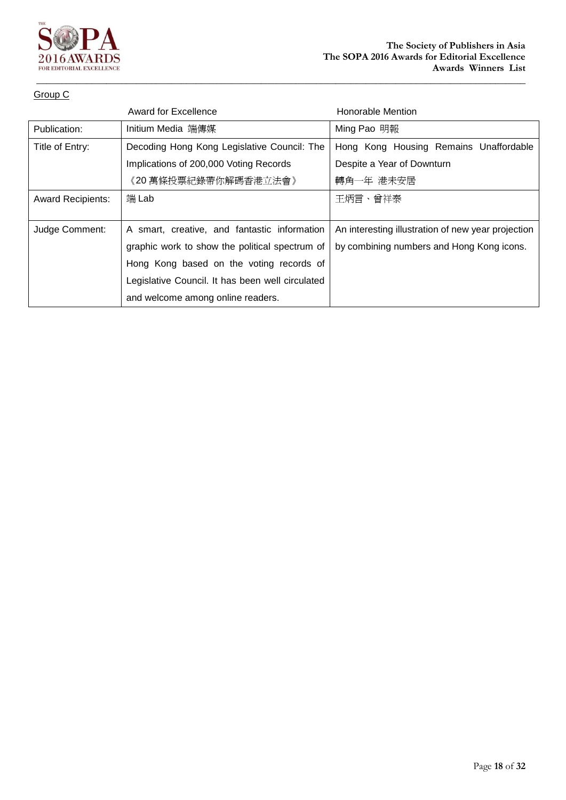

|                          | Award for Excellence                             | <b>Honorable Mention</b>                           |
|--------------------------|--------------------------------------------------|----------------------------------------------------|
| Publication:             | Initium Media 端傳媒                                | Ming Pao 明報                                        |
| Title of Entry:          | Decoding Hong Kong Legislative Council: The      | Hong Kong Housing Remains Unaffordable             |
|                          | Implications of 200,000 Voting Records           | Despite a Year of Downturn                         |
|                          | 《20 萬條投票紀錄帶你解碼香港立法會》                             | 轉角一年 港未安居                                          |
| <b>Award Recipients:</b> | 端 Lab                                            | 王炳言、曾祥泰                                            |
|                          |                                                  |                                                    |
| Judge Comment:           | A smart, creative, and fantastic information     | An interesting illustration of new year projection |
|                          | graphic work to show the political spectrum of   | by combining numbers and Hong Kong icons.          |
|                          | Hong Kong based on the voting records of         |                                                    |
|                          | Legislative Council. It has been well circulated |                                                    |
|                          | and welcome among online readers.                |                                                    |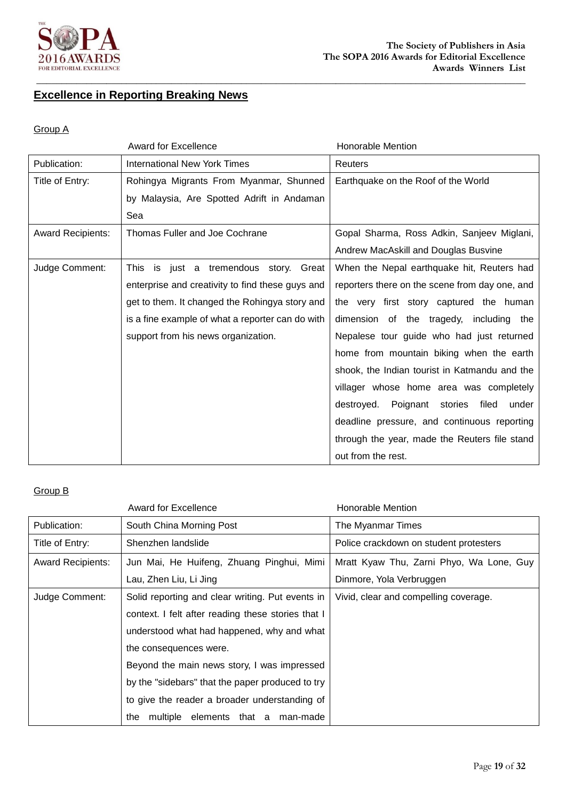

# **Excellence in Reporting Breaking News**

#### Group A

|                          | <b>Award for Excellence</b>                      | <b>Honorable Mention</b>                            |
|--------------------------|--------------------------------------------------|-----------------------------------------------------|
| Publication:             | <b>International New York Times</b>              | Reuters                                             |
| Title of Entry:          | Rohingya Migrants From Myanmar, Shunned          | Earthquake on the Roof of the World                 |
|                          | by Malaysia, Are Spotted Adrift in Andaman       |                                                     |
|                          | Sea                                              |                                                     |
| <b>Award Recipients:</b> | Thomas Fuller and Joe Cochrane                   | Gopal Sharma, Ross Adkin, Sanjeev Miglani,          |
|                          |                                                  | Andrew MacAskill and Douglas Busvine                |
| Judge Comment:           | This is just a tremendous story. Great           | When the Nepal earthquake hit, Reuters had          |
|                          | enterprise and creativity to find these guys and | reporters there on the scene from day one, and      |
|                          | get to them. It changed the Rohingya story and   | the very first story captured the human             |
|                          | is a fine example of what a reporter can do with | dimension of the tragedy, including the             |
|                          | support from his news organization.              | Nepalese tour guide who had just returned           |
|                          |                                                  | home from mountain biking when the earth            |
|                          |                                                  | shook, the Indian tourist in Katmandu and the       |
|                          |                                                  | villager whose home area was completely             |
|                          |                                                  | Poignant<br>filed<br>destroyed.<br>stories<br>under |
|                          |                                                  | deadline pressure, and continuous reporting         |
|                          |                                                  | through the year, made the Reuters file stand       |
|                          |                                                  | out from the rest.                                  |

|                          | <b>Award for Excellence</b>                        | Honorable Mention                        |
|--------------------------|----------------------------------------------------|------------------------------------------|
| Publication:             | South China Morning Post                           | The Myanmar Times                        |
| Title of Entry:          | Shenzhen landslide                                 | Police crackdown on student protesters   |
| <b>Award Recipients:</b> | Jun Mai, He Huifeng, Zhuang Pinghui, Mimi          | Mratt Kyaw Thu, Zarni Phyo, Wa Lone, Guy |
|                          | Lau, Zhen Liu, Li Jing                             | Dinmore, Yola Verbruggen                 |
| Judge Comment:           | Solid reporting and clear writing. Put events in   | Vivid, clear and compelling coverage.    |
|                          | context. I felt after reading these stories that I |                                          |
|                          | understood what had happened, why and what         |                                          |
|                          | the consequences were.                             |                                          |
|                          | Beyond the main news story, I was impressed        |                                          |
|                          | by the "sidebars" that the paper produced to try   |                                          |
|                          | to give the reader a broader understanding of      |                                          |
|                          | multiple elements that a<br>the<br>man-made        |                                          |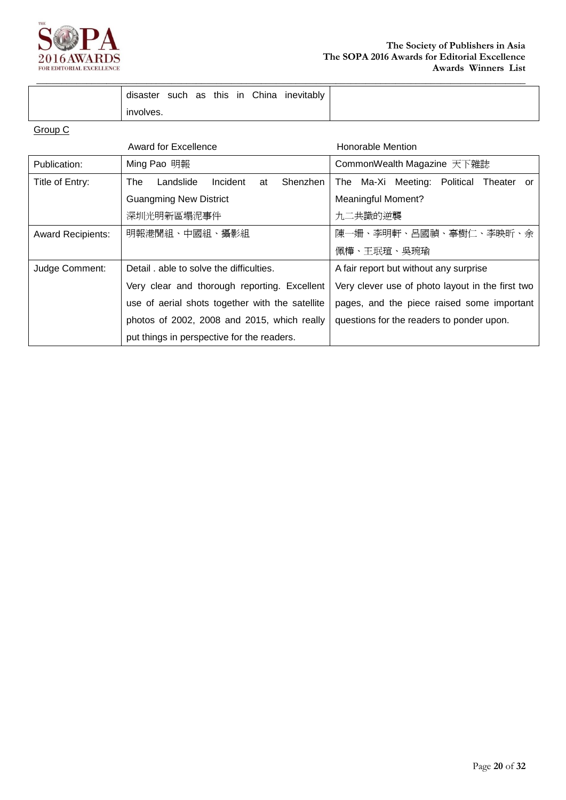

**\_\_\_\_\_\_\_\_\_\_\_\_\_\_\_\_\_\_\_\_\_\_\_\_\_\_\_\_\_\_\_\_\_\_\_\_\_\_\_\_\_\_\_\_\_\_\_\_\_\_\_\_\_\_\_\_\_\_\_\_\_\_\_\_\_\_\_\_\_\_\_\_\_\_\_\_\_\_\_\_\_\_\_\_\_\_\_\_\_\_\_\_\_\_\_\_\_\_**

|                          | Award for Excellence                            | Honorable Mention                                |
|--------------------------|-------------------------------------------------|--------------------------------------------------|
| Publication:             | Ming Pao 明報                                     | CommonWealth Magazine 天下雜誌                       |
| Title of Entry:          | Landslide<br>Incident<br>Shenzhen<br>The<br>at  | The Ma-Xi Meeting: Political Theater or          |
|                          | <b>Guangming New District</b>                   | <b>Meaningful Moment?</b>                        |
|                          | 深圳光明新區塌泥事件                                      | 九二共識的逆襲                                          |
| <b>Award Recipients:</b> | 明報港聞組、中國組、攝影組                                   | 陳一姍、李明軒、呂國禎、辜樹仁、李映昕、余                            |
|                          |                                                 | 佩樺、王珉瑄、吳琬瑜                                       |
| Judge Comment:           | Detail, able to solve the difficulties.         | A fair report but without any surprise           |
|                          | Very clear and thorough reporting. Excellent    | Very clever use of photo layout in the first two |
|                          | use of aerial shots together with the satellite | pages, and the piece raised some important       |
|                          | photos of 2002, 2008 and 2015, which really     | questions for the readers to ponder upon.        |
|                          | put things in perspective for the readers.      |                                                  |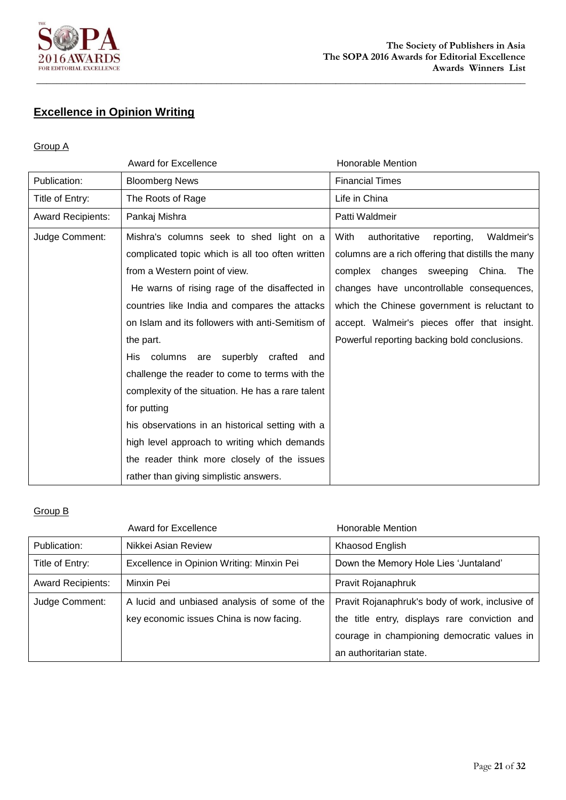

# **Excellence in Opinion Writing**

#### Group A

|                          | <b>Award for Excellence</b>                       | <b>Honorable Mention</b>                           |
|--------------------------|---------------------------------------------------|----------------------------------------------------|
| Publication:             | <b>Bloomberg News</b>                             | <b>Financial Times</b>                             |
| Title of Entry:          | The Roots of Rage                                 | Life in China                                      |
| <b>Award Recipients:</b> | Pankaj Mishra                                     | Patti Waldmeir                                     |
| Judge Comment:           | Mishra's columns seek to shed light on a          | With<br>authoritative<br>Waldmeir's<br>reporting,  |
|                          | complicated topic which is all too often written  | columns are a rich offering that distills the many |
|                          | from a Western point of view.                     | changes sweeping China.<br>complex<br>The          |
|                          | He warns of rising rage of the disaffected in     | changes have uncontrollable consequences,          |
|                          | countries like India and compares the attacks     | which the Chinese government is reluctant to       |
|                          | on Islam and its followers with anti-Semitism of  | accept. Walmeir's pieces offer that insight.       |
|                          | the part.                                         | Powerful reporting backing bold conclusions.       |
|                          | His columns are superbly crafted<br>and           |                                                    |
|                          | challenge the reader to come to terms with the    |                                                    |
|                          | complexity of the situation. He has a rare talent |                                                    |
|                          | for putting                                       |                                                    |
|                          | his observations in an historical setting with a  |                                                    |
|                          | high level approach to writing which demands      |                                                    |
|                          | the reader think more closely of the issues       |                                                    |
|                          | rather than giving simplistic answers.            |                                                    |

|                          | Award for Excellence                         | Honorable Mention                               |
|--------------------------|----------------------------------------------|-------------------------------------------------|
| Publication:             | Nikkei Asian Review                          | Khaosod English                                 |
| Title of Entry:          | Excellence in Opinion Writing: Minxin Pei    | Down the Memory Hole Lies 'Juntaland'           |
| <b>Award Recipients:</b> | Minxin Pei                                   | Pravit Rojanaphruk                              |
| Judge Comment:           | A lucid and unbiased analysis of some of the | Pravit Rojanaphruk's body of work, inclusive of |
|                          | key economic issues China is now facing.     | the title entry, displays rare conviction and   |
|                          |                                              | courage in championing democratic values in     |
|                          |                                              | an authoritarian state.                         |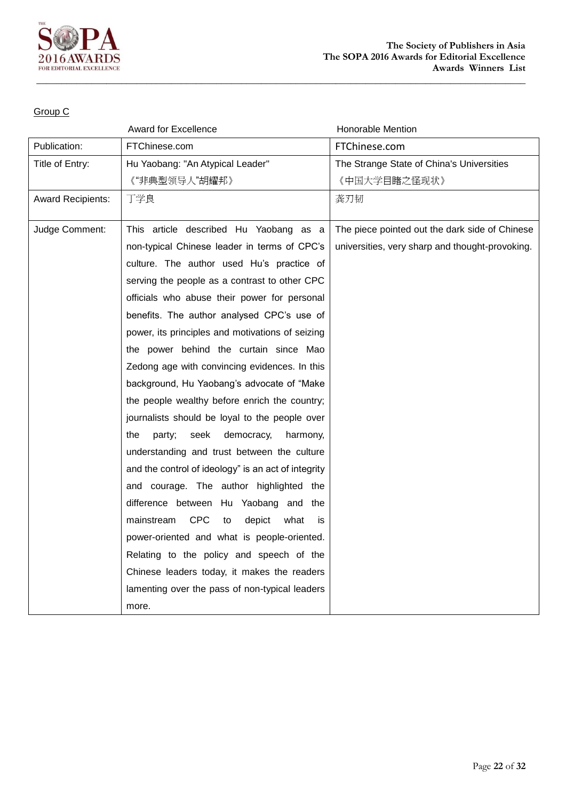

|                          | <b>Award for Excellence</b>                            | Honorable Mention                               |
|--------------------------|--------------------------------------------------------|-------------------------------------------------|
| Publication:             | FTChinese.com                                          | FTChinese.com                                   |
| Title of Entry:          | Hu Yaobang: "An Atypical Leader"                       | The Strange State of China's Universities       |
|                          | 《"非典型领导人"胡耀邦》                                          | 《中国大学目睹之怪现状》                                    |
| <b>Award Recipients:</b> | 丁学良                                                    | 龚刃韧                                             |
|                          |                                                        |                                                 |
| Judge Comment:           | This article described Hu Yaobang as a                 | The piece pointed out the dark side of Chinese  |
|                          | non-typical Chinese leader in terms of CPC's           | universities, very sharp and thought-provoking. |
|                          | culture. The author used Hu's practice of              |                                                 |
|                          | serving the people as a contrast to other CPC          |                                                 |
|                          | officials who abuse their power for personal           |                                                 |
|                          | benefits. The author analysed CPC's use of             |                                                 |
|                          | power, its principles and motivations of seizing       |                                                 |
|                          | the power behind the curtain since Mao                 |                                                 |
|                          | Zedong age with convincing evidences. In this          |                                                 |
|                          | background, Hu Yaobang's advocate of "Make             |                                                 |
|                          | the people wealthy before enrich the country;          |                                                 |
|                          | journalists should be loyal to the people over         |                                                 |
|                          | the<br>party;<br>seek<br>democracy,<br>harmony,        |                                                 |
|                          | understanding and trust between the culture            |                                                 |
|                          | and the control of ideology" is an act of integrity    |                                                 |
|                          | and courage. The author highlighted the                |                                                 |
|                          | difference between Hu Yaobang and the                  |                                                 |
|                          | <b>CPC</b><br>mainstream<br>depict<br>what<br>to<br>is |                                                 |
|                          | power-oriented and what is people-oriented.            |                                                 |
|                          | Relating to the policy and speech of the               |                                                 |
|                          | Chinese leaders today, it makes the readers            |                                                 |
|                          | lamenting over the pass of non-typical leaders         |                                                 |
|                          | more.                                                  |                                                 |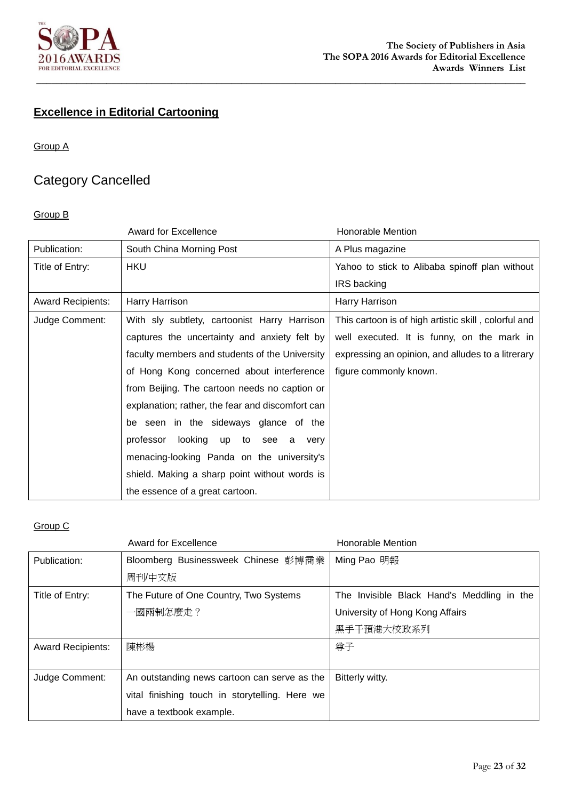

# **Excellence in Editorial Cartooning**

#### Group A

# Category Cancelled

#### Group B

|                          | <b>Award for Excellence</b>                      | <b>Honorable Mention</b>                             |
|--------------------------|--------------------------------------------------|------------------------------------------------------|
| Publication:             | South China Morning Post                         | A Plus magazine                                      |
| Title of Entry:          | <b>HKU</b>                                       | Yahoo to stick to Alibaba spinoff plan without       |
|                          |                                                  | IRS backing                                          |
| <b>Award Recipients:</b> | Harry Harrison                                   | Harry Harrison                                       |
| Judge Comment:           | With sly subtlety, cartoonist Harry Harrison     | This cartoon is of high artistic skill, colorful and |
|                          | captures the uncertainty and anxiety felt by     | well executed. It is funny, on the mark in           |
|                          | faculty members and students of the University   | expressing an opinion, and alludes to a litrerary    |
|                          | of Hong Kong concerned about interference        | figure commonly known.                               |
|                          | from Beijing. The cartoon needs no caption or    |                                                      |
|                          | explanation; rather, the fear and discomfort can |                                                      |
|                          | be seen in the sideways glance of the            |                                                      |
|                          | professor<br>looking<br>up<br>to see a<br>very   |                                                      |
|                          | menacing-looking Panda on the university's       |                                                      |
|                          | shield. Making a sharp point without words is    |                                                      |
|                          | the essence of a great cartoon.                  |                                                      |

|                          | Award for Excellence                           | <b>Honorable Mention</b>                   |
|--------------------------|------------------------------------------------|--------------------------------------------|
| Publication:             | Bloomberg Businessweek Chinese 彭博商業            | Ming Pao 明報                                |
|                          | 周刊/中文版                                         |                                            |
| Title of Entry:          | The Future of One Country, Two Systems         | The Invisible Black Hand's Meddling in the |
|                          | 一國兩制怎麼走?                                       | University of Hong Kong Affairs            |
|                          |                                                | 黑手干預港大校政系列                                 |
| <b>Award Recipients:</b> | 陳彬楊                                            | 尊子                                         |
|                          |                                                |                                            |
| Judge Comment:           | An outstanding news cartoon can serve as the   | Bitterly witty.                            |
|                          | vital finishing touch in storytelling. Here we |                                            |
|                          | have a textbook example.                       |                                            |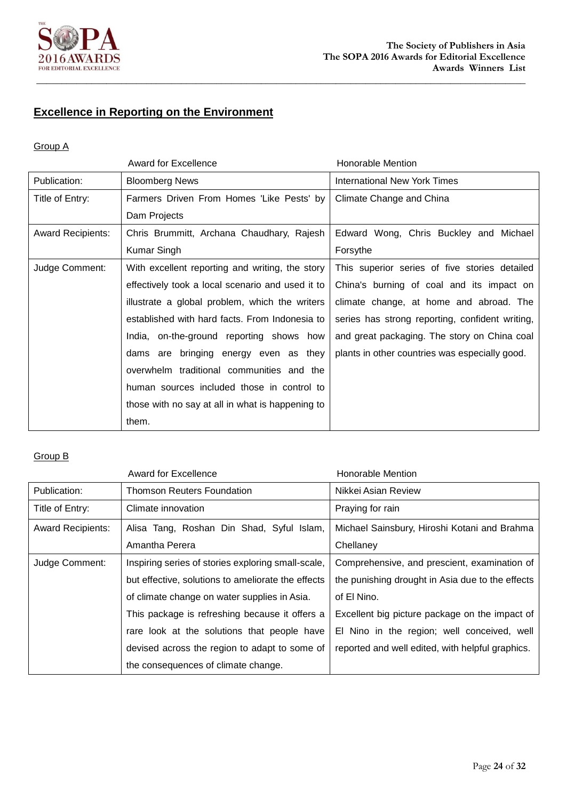

# **Excellence in Reporting on the Environment**

#### Group A

|                          | <b>Award for Excellence</b>                      | Honorable Mention                               |
|--------------------------|--------------------------------------------------|-------------------------------------------------|
| Publication:             | <b>Bloomberg News</b>                            | <b>International New York Times</b>             |
| Title of Entry:          | Farmers Driven From Homes 'Like Pests' by        | Climate Change and China                        |
|                          | Dam Projects                                     |                                                 |
| <b>Award Recipients:</b> | Chris Brummitt, Archana Chaudhary, Rajesh        | Edward Wong, Chris Buckley and Michael          |
|                          | Kumar Singh                                      | Forsythe                                        |
| Judge Comment:           | With excellent reporting and writing, the story  | This superior series of five stories detailed   |
|                          | effectively took a local scenario and used it to | China's burning of coal and its impact on       |
|                          | illustrate a global problem, which the writers   | climate change, at home and abroad. The         |
|                          | established with hard facts. From Indonesia to   | series has strong reporting, confident writing, |
|                          | India, on-the-ground reporting shows how         | and great packaging. The story on China coal    |
|                          | dams are bringing energy even as they            | plants in other countries was especially good.  |
|                          | overwhelm traditional communities and the        |                                                 |
|                          | human sources included those in control to       |                                                 |
|                          | those with no say at all in what is happening to |                                                 |
|                          | them.                                            |                                                 |

|                          | <b>Award for Excellence</b>                        | <b>Honorable Mention</b>                         |
|--------------------------|----------------------------------------------------|--------------------------------------------------|
| Publication:             | Thomson Reuters Foundation                         | Nikkei Asian Review                              |
| Title of Entry:          | Climate innovation                                 | Praying for rain                                 |
| <b>Award Recipients:</b> | Alisa Tang, Roshan Din Shad, Syful Islam,          | Michael Sainsbury, Hiroshi Kotani and Brahma     |
|                          | Amantha Perera                                     | Chellaney                                        |
| Judge Comment:           | Inspiring series of stories exploring small-scale, | Comprehensive, and prescient, examination of     |
|                          | but effective, solutions to ameliorate the effects | the punishing drought in Asia due to the effects |
|                          | of climate change on water supplies in Asia.       | of El Nino.                                      |
|                          | This package is refreshing because it offers a     | Excellent big picture package on the impact of   |
|                          | rare look at the solutions that people have        | El Nino in the region; well conceived, well      |
|                          | devised across the region to adapt to some of      | reported and well edited, with helpful graphics. |
|                          | the consequences of climate change.                |                                                  |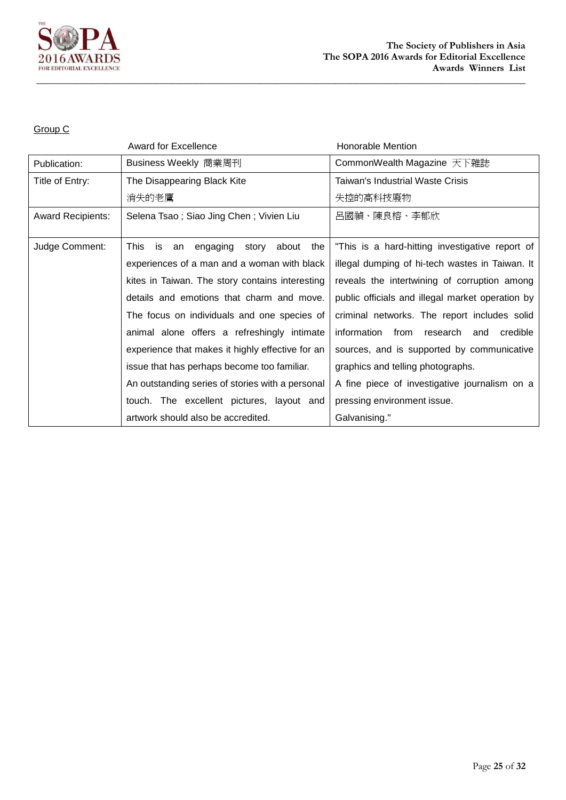

|                          | <b>Award for Excellence</b>                        | Honorable Mention                                |
|--------------------------|----------------------------------------------------|--------------------------------------------------|
| Publication:             | Business Weekly 商業周刊                               | CommonWealth Magazine 天下雜誌                       |
| Title of Entry:          | The Disappearing Black Kite                        | Taiwan's Industrial Waste Crisis                 |
|                          | 消失的老鷹                                              | 失控的高科技廢物                                         |
| <b>Award Recipients:</b> | Selena Tsao; Siao Jing Chen; Vivien Liu            | 呂國禎、陳良榕、李郁欣                                      |
|                          |                                                    |                                                  |
| Judge Comment:           | This is<br>engaging<br>story<br>about<br>the<br>an | "This is a hard-hitting investigative report of  |
|                          | experiences of a man and a woman with black        | illegal dumping of hi-tech wastes in Taiwan. It  |
|                          | kites in Taiwan. The story contains interesting    | reveals the intertwining of corruption among     |
|                          | details and emotions that charm and move.          | public officials and illegal market operation by |
|                          | The focus on individuals and one species of        | criminal networks. The report includes solid     |
|                          | animal alone offers a refreshingly intimate        | information from research and<br>credible        |
|                          | experience that makes it highly effective for an   | sources, and is supported by communicative       |
|                          | issue that has perhaps become too familiar.        | graphics and telling photographs.                |
|                          | An outstanding series of stories with a personal   | A fine piece of investigative journalism on a    |
|                          | touch. The excellent pictures, layout and          | pressing environment issue.                      |
|                          | artwork should also be accredited.                 | Galvanising."                                    |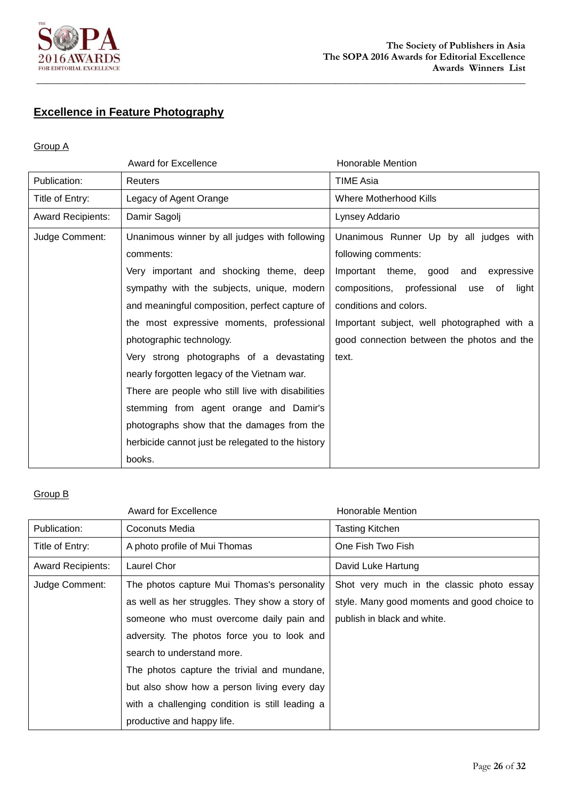

# **Excellence in Feature Photography**

#### Group A

|                          | <b>Award for Excellence</b>                       | <b>Honorable Mention</b>                         |
|--------------------------|---------------------------------------------------|--------------------------------------------------|
| Publication:             | <b>Reuters</b>                                    | <b>TIME Asia</b>                                 |
| Title of Entry:          | Legacy of Agent Orange                            | <b>Where Motherhood Kills</b>                    |
| <b>Award Recipients:</b> | Damir Sagolj                                      | Lynsey Addario                                   |
| Judge Comment:           | Unanimous winner by all judges with following     | Unanimous Runner Up by all judges with           |
|                          | comments:                                         | following comments:                              |
|                          | Very important and shocking theme, deep           | Important theme, good<br>expressive<br>and       |
|                          | sympathy with the subjects, unique, modern        | light<br>compositions, professional<br>of<br>use |
|                          | and meaningful composition, perfect capture of    | conditions and colors.                           |
|                          | the most expressive moments, professional         | Important subject, well photographed with a      |
|                          | photographic technology.                          | good connection between the photos and the       |
|                          | Very strong photographs of a devastating          | text.                                            |
|                          | nearly forgotten legacy of the Vietnam war.       |                                                  |
|                          | There are people who still live with disabilities |                                                  |
|                          | stemming from agent orange and Damir's            |                                                  |
|                          | photographs show that the damages from the        |                                                  |
|                          | herbicide cannot just be relegated to the history |                                                  |
|                          | books.                                            |                                                  |

|                          | <b>Award for Excellence</b>                     | Honorable Mention                           |
|--------------------------|-------------------------------------------------|---------------------------------------------|
| Publication:             | <b>Coconuts Media</b>                           | <b>Tasting Kitchen</b>                      |
| Title of Entry:          | A photo profile of Mui Thomas                   | One Fish Two Fish                           |
| <b>Award Recipients:</b> | Laurel Chor                                     | David Luke Hartung                          |
| Judge Comment:           | The photos capture Mui Thomas's personality     | Shot very much in the classic photo essay   |
|                          | as well as her struggles. They show a story of  | style. Many good moments and good choice to |
|                          | someone who must overcome daily pain and        | publish in black and white.                 |
|                          | adversity. The photos force you to look and     |                                             |
|                          | search to understand more.                      |                                             |
|                          | The photos capture the trivial and mundane,     |                                             |
|                          | but also show how a person living every day     |                                             |
|                          | with a challenging condition is still leading a |                                             |
|                          | productive and happy life.                      |                                             |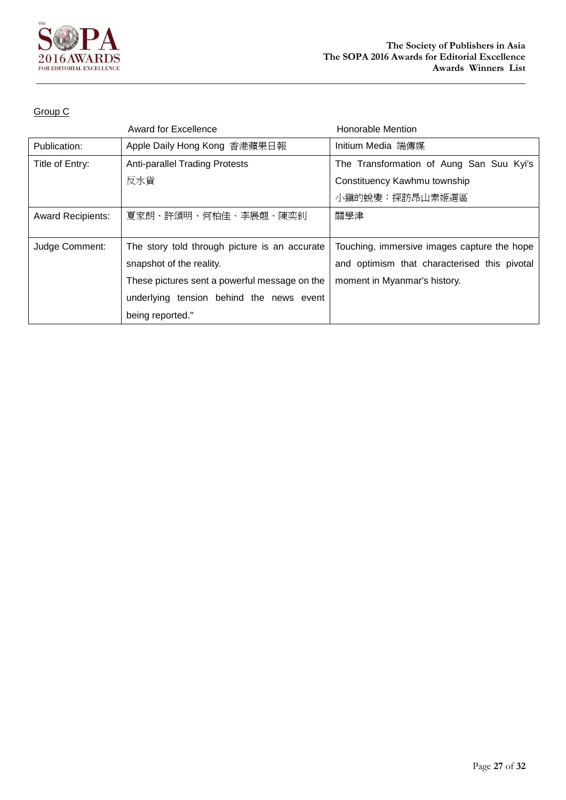

|                          | <b>Award for Excellence</b>                   | Honorable Mention                            |
|--------------------------|-----------------------------------------------|----------------------------------------------|
| Publication:             | Apple Daily Hong Kong 香港蘋果日報                  | Initium Media 端傳媒                            |
| Title of Entry:          | <b>Anti-parallel Trading Protests</b>         | The Transformation of Aung San Suu Kyi's     |
|                          | 反水貨                                           | Constituency Kawhmu township                 |
|                          |                                               | 小鎭的蛻變:探訪昂山素姬選區                               |
| <b>Award Recipients:</b> | 夏家朗、許頌明、何柏佳、李展翹、陳奕釗                           | 關學津                                          |
|                          |                                               |                                              |
| Judge Comment:           | The story told through picture is an accurate | Touching, immersive images capture the hope  |
|                          | snapshot of the reality.                      | and optimism that characterised this pivotal |
|                          | These pictures sent a powerful message on the | moment in Myanmar's history.                 |
|                          | underlying tension behind the news event      |                                              |
|                          | being reported."                              |                                              |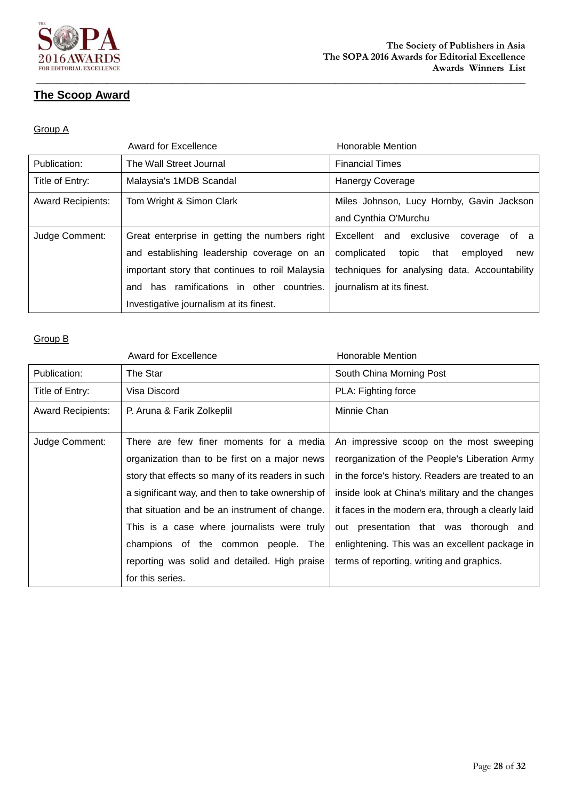

## **The Scoop Award**

#### Group A

|                          | Award for Excellence                            | <b>Honorable Mention</b>                      |
|--------------------------|-------------------------------------------------|-----------------------------------------------|
| Publication:             | The Wall Street Journal                         | <b>Financial Times</b>                        |
| Title of Entry:          | Malaysia's 1MDB Scandal                         | <b>Hanergy Coverage</b>                       |
| <b>Award Recipients:</b> | Tom Wright & Simon Clark                        | Miles Johnson, Lucy Hornby, Gavin Jackson     |
|                          |                                                 | and Cynthia O'Murchu                          |
| Judge Comment:           | Great enterprise in getting the numbers right   | Excellent and exclusive<br>of a<br>coverage   |
|                          | and establishing leadership coverage on an      | complicated<br>topic that<br>employed<br>new  |
|                          | important story that continues to roil Malaysia | techniques for analysing data. Accountability |
|                          | and has ramifications in other countries.       | journalism at its finest.                     |
|                          | Investigative journalism at its finest.         |                                               |

|                          | <b>Award for Excellence</b>                       | Honorable Mention                                  |
|--------------------------|---------------------------------------------------|----------------------------------------------------|
| Publication:             | The Star                                          | South China Morning Post                           |
| Title of Entry:          | Visa Discord                                      | PLA: Fighting force                                |
| <b>Award Recipients:</b> | P. Aruna & Farik Zolkeplil                        | Minnie Chan                                        |
| Judge Comment:           | There are few finer moments for a media           | An impressive scoop on the most sweeping           |
|                          | organization than to be first on a major news     | reorganization of the People's Liberation Army     |
|                          | story that effects so many of its readers in such | in the force's history. Readers are treated to an  |
|                          | a significant way, and then to take ownership of  | inside look at China's military and the changes    |
|                          | that situation and be an instrument of change.    | it faces in the modern era, through a clearly laid |
|                          | This is a case where journalists were truly       | out presentation that was thorough and             |
|                          | champions of the common people. The               | enlightening. This was an excellent package in     |
|                          | reporting was solid and detailed. High praise     | terms of reporting, writing and graphics.          |
|                          | for this series.                                  |                                                    |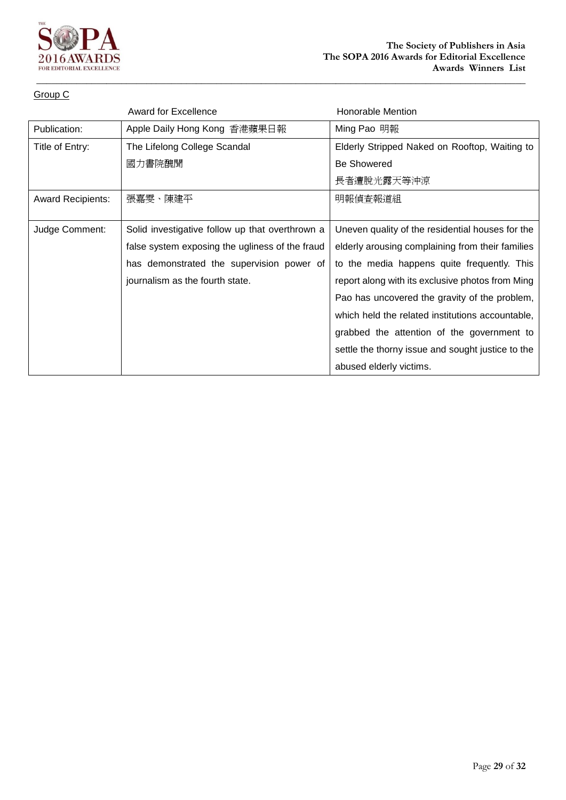

|                          | <b>Award for Excellence</b>                     | <b>Honorable Mention</b>                          |
|--------------------------|-------------------------------------------------|---------------------------------------------------|
| Publication:             | Apple Daily Hong Kong 香港蘋果日報                    | Ming Pao 明報                                       |
| Title of Entry:          | The Lifelong College Scandal                    | Elderly Stripped Naked on Rooftop, Waiting to     |
|                          | 國力書院醜聞                                          | <b>Be Showered</b>                                |
|                          |                                                 | 長者遭脫光露天等沖涼                                        |
| <b>Award Recipients:</b> | 張嘉雯、陳建平                                         | 明報偵査報道組                                           |
|                          |                                                 |                                                   |
| Judge Comment:           | Solid investigative follow up that overthrown a | Uneven quality of the residential houses for the  |
|                          | false system exposing the ugliness of the fraud | elderly arousing complaining from their families  |
|                          | has demonstrated the supervision power of       | to the media happens quite frequently. This       |
|                          | journalism as the fourth state.                 | report along with its exclusive photos from Ming  |
|                          |                                                 | Pao has uncovered the gravity of the problem,     |
|                          |                                                 | which held the related institutions accountable,  |
|                          |                                                 | grabbed the attention of the government to        |
|                          |                                                 | settle the thorny issue and sought justice to the |
|                          |                                                 | abused elderly victims.                           |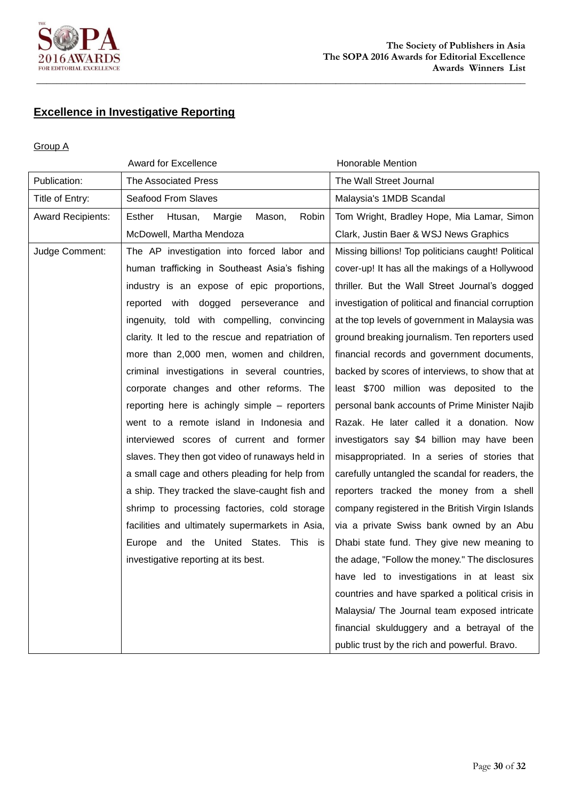

# **Excellence in Investigative Reporting**

#### Group A

| Award for Excellence     |                                                   | Honorable Mention                                   |  |
|--------------------------|---------------------------------------------------|-----------------------------------------------------|--|
| Publication:             | <b>The Associated Press</b>                       | The Wall Street Journal                             |  |
| Title of Entry:          | Seafood From Slaves                               | Malaysia's 1MDB Scandal                             |  |
| <b>Award Recipients:</b> | Esther<br>Robin<br>Htusan,<br>Margie<br>Mason,    | Tom Wright, Bradley Hope, Mia Lamar, Simon          |  |
|                          | McDowell, Martha Mendoza                          | Clark, Justin Baer & WSJ News Graphics              |  |
| Judge Comment:           | The AP investigation into forced labor and        | Missing billions! Top politicians caught! Political |  |
|                          | human trafficking in Southeast Asia's fishing     | cover-up! It has all the makings of a Hollywood     |  |
|                          | industry is an expose of epic proportions,        | thriller. But the Wall Street Journal's dogged      |  |
|                          | reported with dogged perseverance and             | investigation of political and financial corruption |  |
|                          | ingenuity, told with compelling, convincing       | at the top levels of government in Malaysia was     |  |
|                          | clarity. It led to the rescue and repatriation of | ground breaking journalism. Ten reporters used      |  |
|                          | more than 2,000 men, women and children,          | financial records and government documents,         |  |
|                          | criminal investigations in several countries,     | backed by scores of interviews, to show that at     |  |
|                          | corporate changes and other reforms. The          | least \$700 million was deposited to the            |  |
|                          | reporting here is achingly simple – reporters     | personal bank accounts of Prime Minister Najib      |  |
|                          | went to a remote island in Indonesia and          | Razak. He later called it a donation. Now           |  |
|                          | interviewed scores of current and former          | investigators say \$4 billion may have been         |  |
|                          | slaves. They then got video of runaways held in   | misappropriated. In a series of stories that        |  |
|                          | a small cage and others pleading for help from    | carefully untangled the scandal for readers, the    |  |
|                          | a ship. They tracked the slave-caught fish and    | reporters tracked the money from a shell            |  |
|                          | shrimp to processing factories, cold storage      | company registered in the British Virgin Islands    |  |
|                          | facilities and ultimately supermarkets in Asia,   | via a private Swiss bank owned by an Abu            |  |
|                          | Europe and the United States. This is             | Dhabi state fund. They give new meaning to          |  |
|                          | investigative reporting at its best.              | the adage, "Follow the money." The disclosures      |  |
|                          |                                                   | have led to investigations in at least six          |  |
|                          |                                                   | countries and have sparked a political crisis in    |  |
|                          |                                                   | Malaysia/ The Journal team exposed intricate        |  |
|                          |                                                   | financial skulduggery and a betrayal of the         |  |
|                          |                                                   | public trust by the rich and powerful. Bravo.       |  |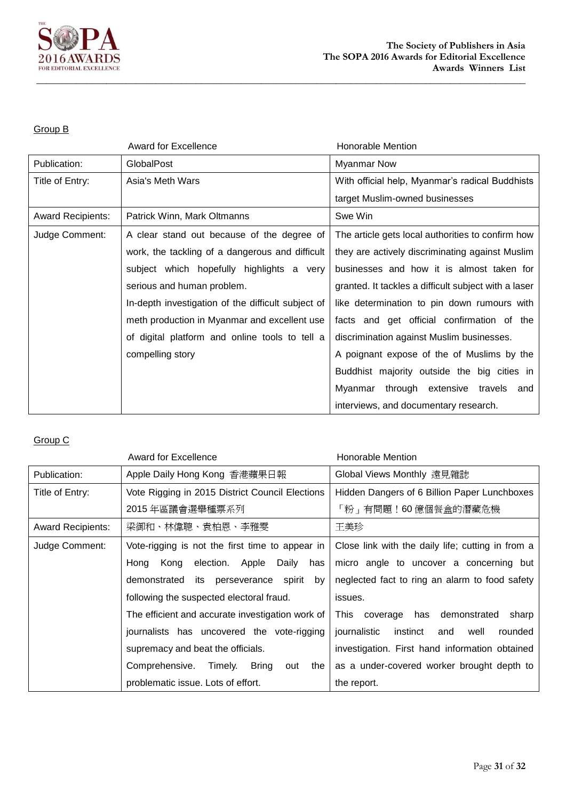

#### Group B

|                          | <b>Award for Excellence</b>                        | Honorable Mention                                    |  |
|--------------------------|----------------------------------------------------|------------------------------------------------------|--|
| Publication:             | GlobalPost                                         | <b>Myanmar Now</b>                                   |  |
| Title of Entry:          | Asia's Meth Wars                                   | With official help, Myanmar's radical Buddhists      |  |
|                          |                                                    | target Muslim-owned businesses                       |  |
| <b>Award Recipients:</b> | Patrick Winn, Mark Oltmanns                        | Swe Win                                              |  |
| Judge Comment:           | A clear stand out because of the degree of         | The article gets local authorities to confirm how    |  |
|                          | work, the tackling of a dangerous and difficult    | they are actively discriminating against Muslim      |  |
|                          | subject which hopefully highlights a very          | businesses and how it is almost taken for            |  |
|                          | serious and human problem.                         | granted. It tackles a difficult subject with a laser |  |
|                          | In-depth investigation of the difficult subject of | like determination to pin down rumours with          |  |
|                          | meth production in Myanmar and excellent use       | facts and get official confirmation of the           |  |
|                          | of digital platform and online tools to tell a     | discrimination against Muslim businesses.            |  |
|                          | compelling story                                   | A poignant expose of the of Muslims by the           |  |
|                          |                                                    | Buddhist majority outside the big cities in          |  |
|                          |                                                    | Myanmar through extensive travels<br>and             |  |
|                          |                                                    | interviews, and documentary research.                |  |

|                          | Award for Excellence                             | Honorable Mention                                  |
|--------------------------|--------------------------------------------------|----------------------------------------------------|
| Publication:             | Apple Daily Hong Kong 香港蘋果日報                     | Global Views Monthly 遠見雜誌                          |
| Title of Entry:          | Vote Rigging in 2015 District Council Elections  | Hidden Dangers of 6 Billion Paper Lunchboxes       |
|                          | 2015 年區議會選舉種票系列                                  | 「粉」有問題!60 億個餐盒的潛藏危機                                |
| <b>Award Recipients:</b> | 梁御和、林偉聰、袁柏恩、李雅雯                                  | 王美珍                                                |
| Judge Comment:           | Vote-rigging is not the first time to appear in  | Close link with the daily life; cutting in from a  |
|                          | Kong<br>Daily<br>election. Apple<br>has<br>Hong  | micro angle to uncover a concerning but            |
|                          | demonstrated<br>its perseverance spirit<br>by    | neglected fact to ring an alarm to food safety     |
|                          | following the suspected electoral fraud.         | issues.                                            |
|                          | The efficient and accurate investigation work of | This<br>coverage has demonstrated<br>sharp         |
|                          | journalists has uncovered the vote-rigging       | journalistic<br>instinct<br>rounded<br>and<br>well |
|                          | supremacy and beat the officials.                | investigation. First hand information obtained     |
|                          | Comprehensive.<br>Bring<br>Timely.<br>the<br>out | as a under-covered worker brought depth to         |
|                          | problematic issue. Lots of effort.               | the report.                                        |